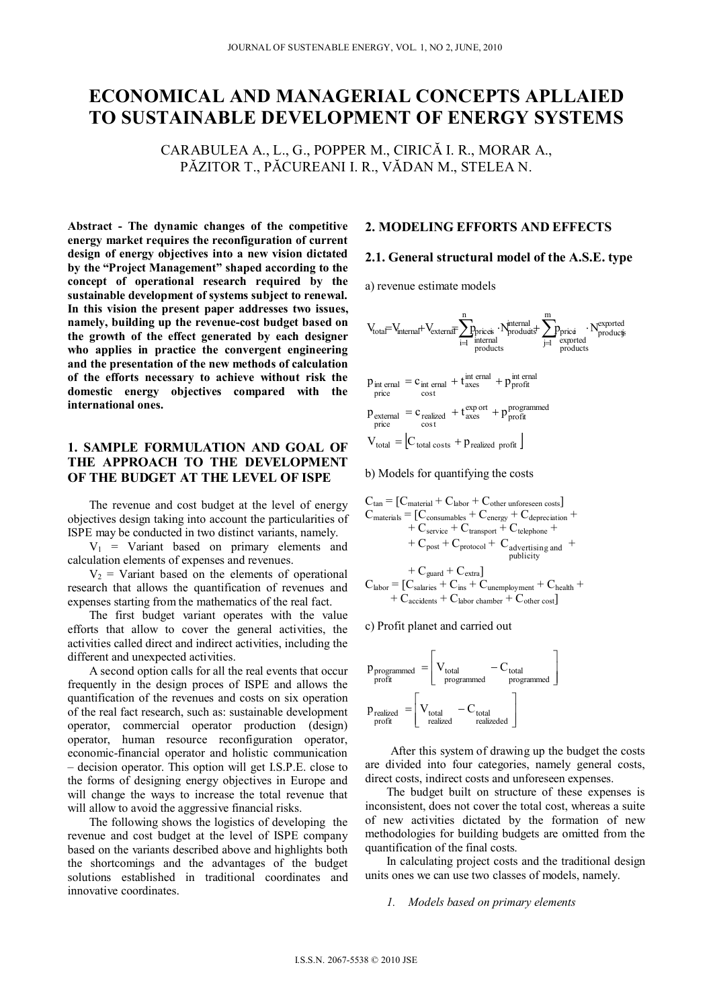# **ECONOMICAL AND MANAGERIAL CONCEPTS APLLAIED TO SUSTAINABLE DEVELOPMENT OF ENERGY SYSTEMS**

CARABULEA A., L., G., POPPER M., CIRICĂ I. R., MORAR A., PĂZITOR T., PĂCUREANI I. R., VĂDAN M., STELEA N.

**Abstract - The dynamic changes of the competitive energy market requires the reconfiguration of current design of energy objectives into a new vision dictated by the "Project Management" shaped according to the concept of operational research required by the sustainable development of systems subject to renewal. In this vision the present paper addresses two issues, namely, building up the revenue-cost budget based on the growth of the effect generated by each designer who applies in practice the convergent engineering and the presentation of the new methods of calculation of the efforts necessary to achieve without risk the domestic energy objectives compared with the international ones.** 

# **1. SAMPLE FORMULATION AND GOAL OF THE APPROACH TO THE DEVELOPMENT OF THE BUDGET AT THE LEVEL OF ISPE**

The revenue and cost budget at the level of energy objectives design taking into account the particularities of ISPE may be conducted in two distinct variants, namely.

 $V_1$  = Variant based on primary elements and calculation elements of expenses and revenues.

 $V_2$  = Variant based on the elements of operational research that allows the quantification of revenues and expenses starting from the mathematics of the real fact.

The first budget variant operates with the value efforts that allow to cover the general activities, the activities called direct and indirect activities, including the different and unexpected activities.

A second option calls for all the real events that occur frequently in the design proces of ISPE and allows the quantification of the revenues and costs on six operation of the real fact research, such as: sustainable development operator, commercial operator production (design) operator, human resource reconfiguration operator, economic-financial operator and holistic communication – decision operator. This option will get I.S.P.E. close to the forms of designing energy objectives in Europe and will change the ways to increase the total revenue that will allow to avoid the aggressive financial risks.

The following shows the logistics of developing the revenue and cost budget at the level of ISPE company based on the variants described above and highlights both the shortcomings and the advantages of the budget solutions established in traditional coordinates and innovative coordinates.

# **2. MODELING EFFORTS AND EFFECTS**

## **2.1. General structural model of the A.S.E. type**

a) revenue estimate models

cost

price

$$
V_{total} = V_{internal} + V_{external} \overline{I} \underbrace{P}_{i=1}^{n} \underbrace{P}_{internal} \underbrace{P}_{products} + \underbrace{P}_{j=1}^{m} \underbrace{P}_{expected} \underbrace{P}_{products} \underbrace{P}_{products}
$$
\n
$$
p_{int\,ernal} = c_{int\,ernal} + t \underbrace{I}_{axes}^{int\,ernal} + p \underbrace{I}_{priorfit}^{int\,ernal}
$$

 $p_{\text{external}} = c_{\text{realized}} + t_{\text{axes}}^{\text{export}} + p_{\text{profit}}^{\text{programmed}}$  $\cos t$ price

$$
V_{total} = [C_{total \text{ costs}} + p_{realized \text{ profit}}]
$$

b) Models for quantifying the costs

$$
\begin{aligned} C_{tan} &= [C_{material} + C_{labor} + C_{other\ unfore} \\ C_{materials} &= [C_{consumables} + C_{energy} + C_{depreciation} + \\ & + C_{service} + C_{transport} + C_{telephone} + \\ & + C_{post} + C_{protocol} + C_{adverting\ and} + \\ & + C_{guard} + C_{extra}] \\ C_{labor} &= [C_{salaries} + C_{ins} + C_{unemployment} + C_{hedth} + \\ & + C_{accidents} + C_{labor\ chamber} + C_{other\ cost}] \end{aligned}
$$

c) Profit planet and carried out



After this system of drawing up the budget the costs are divided into four categories, namely general costs, direct costs, indirect costs and unforeseen expenses.

The budget built on structure of these expenses is inconsistent, does not cover the total cost, whereas a suite of new activities dictated by the formation of new methodologies for building budgets are omitted from the quantification of the final costs.

In calculating project costs and the traditional design units ones we can use two classes of models, namely.

#### *1. Models based on primary elements*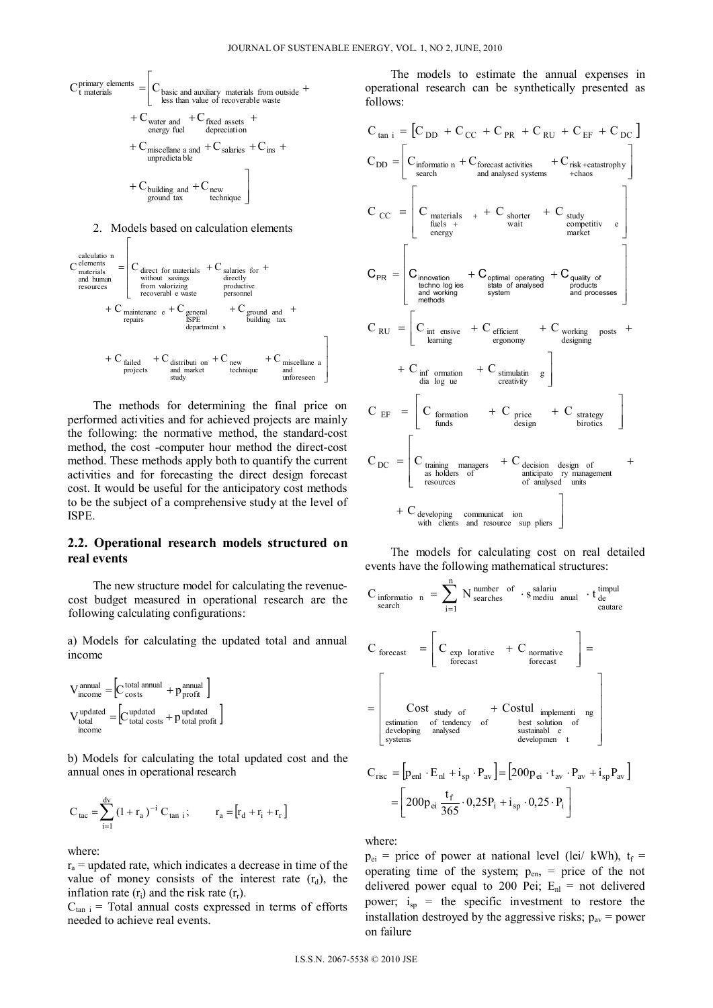





 The methods for determining the final price on performed activities and for achieved projects are mainly the following: the normative method, the standard-cost method, the cost -computer hour method the direct-cost method. These methods apply both to quantify the current activities and for forecasting the direct design forecast cost. It would be useful for the anticipatory cost methods to be the subject of a comprehensive study at the level of ISPE.

## **2.2. Operational research models structured on real events**

 The new structure model for calculating the revenuecost budget measured in operational research are the following calculating configurations:

a) Models for calculating the updated total and annual income

$$
\begin{aligned} \mathbf{V}_{\text{income}}^{\text{annual}} =& \Big[ \mathbf{C}_{\text{costs}}^{\text{total annual}} + \mathbf{p}_{\text{profit}}^{\text{annual}} \Big] \\ \mathbf{V}_{\text{total}}^{\text{updated}} =& \Big[ \mathbf{C}_{\text{total costs}}^{\text{updated}} + \mathbf{p}_{\text{total profit}}^{\text{updated}} \Big] \\ &\hspace{1.5cm}\text{income} \end{aligned}
$$

b) Models for calculating the total updated cost and the annual ones in operational research

$$
C_{\text{tac}} = \sum_{i=1}^{d^{\text{v}}} (1 + r_{\text{a}})^{-i} C_{\text{tan } i}; \qquad r_{\text{a}} = [r_{\text{d}} + r_{\text{i}} + r_{\text{r}}]
$$

where:

 $r_a$  = updated rate, which indicates a decrease in time of the value of money consists of the interest rate  $(r_d)$ , the inflation rate  $(r_i)$  and the risk rate  $(r_r)$ .

 $C_{tan i}$  = Total annual costs expressed in terms of efforts needed to achieve real events.

 The models to estimate the annual expenses in operational research can be synthetically presented as follows:

$$
C_{tan i} = [C_{DD} + C_{CC} + C_{PR} + C_{RU} + C_{EF} + C_{DC}]
$$
\n
$$
C_{DD} = \begin{bmatrix} C_{information} + C_{forecast activities} & + C_{risk + catastrophe} \\ \text{search} & \text{and analysed systems} & + \text{chaos} \\ \text{deles } + & + \text{Vert} & \text{water} \\ \text{fuels } + & \text{wait} & \text{computer} \end{bmatrix}
$$
\n
$$
C_{C} = \begin{bmatrix} C_{materials} & + C_{shorter} & + C_{study} \\ \text{fuels } + & \text{wait} & \text{computer} \\ \text{fuchs } + & \text{wait} & \text{computer} \end{bmatrix}
$$
\n
$$
C_{PR} = \begin{bmatrix} C_{innovation} & + C_{optimal operating} & + C_{quality of} \\ \text{fecomning} & \text{state of analyzed} & \text{products} \\ \text{methodes} & \text{system} \end{bmatrix}
$$
\n
$$
C_{RU} = \begin{bmatrix} C_{int, entire} & + C_{efficient} & + C_{working} \\ \text{furing} & \text{if a large} \\ \text{fusing} & \text{if a large} \end{bmatrix}
$$
\n
$$
C_{D} = \begin{bmatrix} C_{formation} & + C_{price} & + C_{strategy} \\ \text{funds} & \text{design} & \text{birtics} \end{bmatrix}
$$
\n
$$
C_{DC} = \begin{bmatrix} C_{training, manganese} & + C_{decision} & \text{design} & \text{of} \\ \text{taining, managers} & + C_{decision} & \text{design} & \text{of} \\ \text{as holders of} & \text{anticipato,ry management} \\ \text{of analysed units} & \text{units} \end{bmatrix}
$$
\n
$$
+ C_{developing, communication} \text{communicate in}
$$

 The models for calculating cost on real detailed events have the following mathematical structures:

$$
C_{\text{information}} = \sum_{i=1}^{n} N_{\text{searches}}^{\text{number of}} \cdot s_{\text{medium}}^{\text{salariu}} \cdot t_{\text{de}}^{\text{timpul}}
$$
\n
$$
C_{\text{forecast}} = \begin{bmatrix} C_{\text{exp} \space \text{lorative}} & + C_{\text{normative} \space \text{forecast}} \\ C_{\text{forecast}} & + C_{\text{bottom} \space \text{forecast}} \end{bmatrix} =
$$
\n
$$
= \begin{bmatrix} \text{Cost} \\ \text{ext}_{\text{study} \space \text{of}} & + \text{Costul} \\ \text{ext}_{\text{subtopumplement}} & \text{neg} \end{bmatrix}
$$
\n
$$
C_{\text{rise}} = \begin{bmatrix} p_{\text{enl}} \cdot E_{\text{nl}} + i_{\text{sp}} \cdot P_{\text{av}} \end{bmatrix} = \begin{bmatrix} 200p_{\text{ei}} \cdot t_{\text{av}} \cdot P_{\text{av}} + i_{\text{sp}} P_{\text{av}} \end{bmatrix}
$$
\n
$$
= \begin{bmatrix} 200p_{\text{ei}} \frac{t_{\text{f}}}{365} \cdot 0.25P_{\text{i}} + i_{\text{sp}} \cdot 0.25 \cdot P_{\text{i}} \end{bmatrix}
$$

where:

 $p_{ei}$  = price of power at national level (lei/ kWh),  $t_f$  = operating time of the system;  $p_{en}$ , = price of the not delivered power equal to 200 Pei;  $E_{nl}$  = not delivered power;  $i_{sp}$  = the specific investment to restore the installation destroyed by the aggressive risks;  $p_{av}$  = power on failure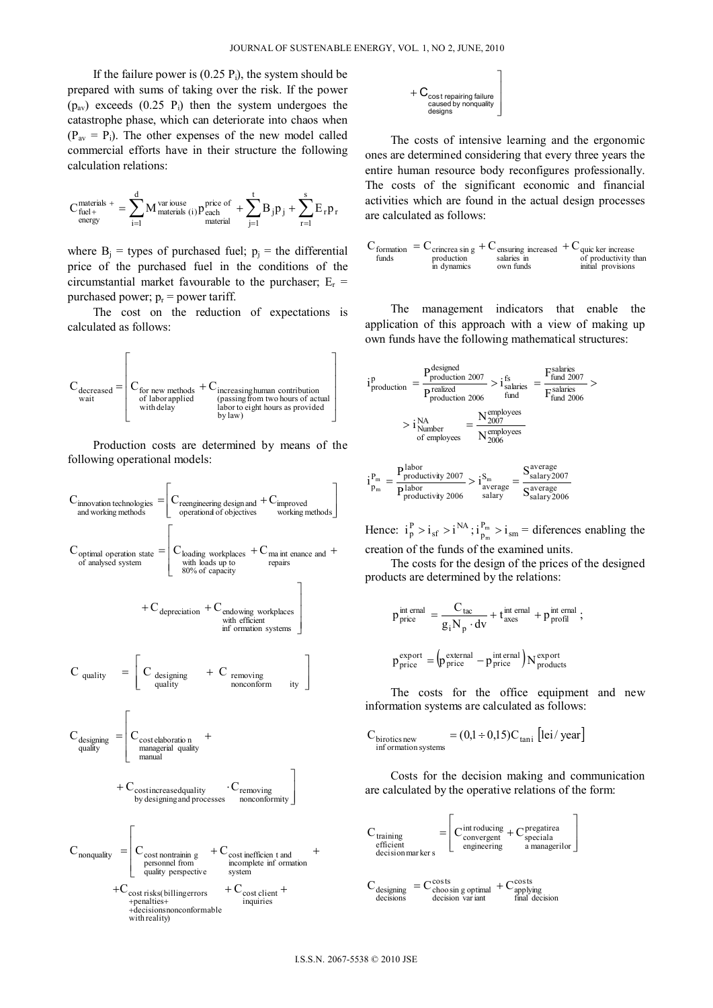If the failure power is  $(0.25 \text{ P})$ , the system should be prepared with sums of taking over the risk. If the power  $(p_{av})$  exceeds  $(0.25 \text{ P}_i)$  then the system undergoes the catastrophe phase, which can deteriorate into chaos when  $(P_{av} = P_i)$ . The other expenses of the new model called commercial efforts have in their structure the following calculation relations:

$$
C_{\text{fuel}+}^{\text{materials}~+}=\sum_{i=1}^{d}M_{\text{materials}~(i)}^{\text{various}}p_{\text{each}}^{\text{price of}}+\sum_{j=1}^{t}B_jp_j+\sum_{r=1}^{s}E_r p_r
$$

where  $B_i$  = types of purchased fuel;  $p_i$  = the differential price of the purchased fuel in the conditions of the circumstantial market favourable to the purchaser;  $E_r$  = purchased power;  $p_r$  = power tariff.

 The cost on the reduction of expectations is calculated as follows:



 Production costs are determined by means of the following operational models:





 The costs of intensive learning and the ergonomic ones are determined considering that every three years the entire human resource body reconfigures professionally. The costs of the significant economic and financial activities which are found in the actual design processes are calculated as follows:

$$
C_{\substack{formation\\funds}} = C_{\substack{c \text{rincrea} \sin g\\production\\in dynamics}} + C_{\substack{ensuming\\solaries in\\own funds}} + C_{\substack{quic ker increase\\of\text{ productivity than}\\initial \text{proticity}}
$$

 The management indicators that enable the application of this approach with a view of making up own funds have the following mathematical structures:

$$
i_{\text{production}}^p = \frac{P_{\text{production}}^{\text{designed}}}{P_{\text{production}}^{\text{realized}}} > i_{\text{salaries}}^{\text{fs}} = \frac{F_{\text{fund}}^{\text{salaries}}}{F_{\text{fund}}^{\text{salaries}}} > i_{\text{ind}}^{\text{fs}} = \frac{F_{\text{fund}}^{\text{salaries}}}{F_{\text{fund}}^{\text{salaries}}} > i_{\text{Number of employees}}^{\text{NA}} = \frac{N_{\text{2007}}^{\text{employees}}}{N_{\text{2006}}^{\text{employees}}}
$$

$$
i_{p_m}^{P_m} = \frac{P_{productivity\ 2007}^{labor}}{P_{productivity\ 2006}^{labor}} > i_{average}^{S_m} = \frac{S_{salary\ 2007}^{average}}{S_{salary\ 2006}^{average}}
$$

Hence:  $i_p^P > i_{sf} > i_{M}^{NA}$ ;  $i_{p_m}^{P_m} > i_{sm}$  $i_p^P > i_{sf} > i^{NA}$ ;  $i_{p_m}^P > i_{sm}$  = diferences enabling the creation of the funds of the examined units.

 The costs for the design of the prices of the designed products are determined by the relations:

$$
p_{\text{price}}^{\text{int email}} = \frac{C_{\text{tac}}}{g_i N_p \cdot dv} + t_{\text{axes}}^{\text{internal}} + p_{\text{profil}}^{\text{internal}};
$$
  

$$
p_{\text{price}}^{\text{export}} = (p_{\text{price}}^{\text{external}} - p_{\text{price}}^{\text{internal}}) N_{\text{products}}^{\text{export}}
$$

 The costs for the office equipment and new information systems are calculated as follows:

$$
C_{\text{birtotes new}} = (0.1 \div 0.15)C_{\text{tani}} \left[ \text{lei} / \text{year} \right]
$$

 Costs for the decision making and communication are calculated by the operative relations of the form:

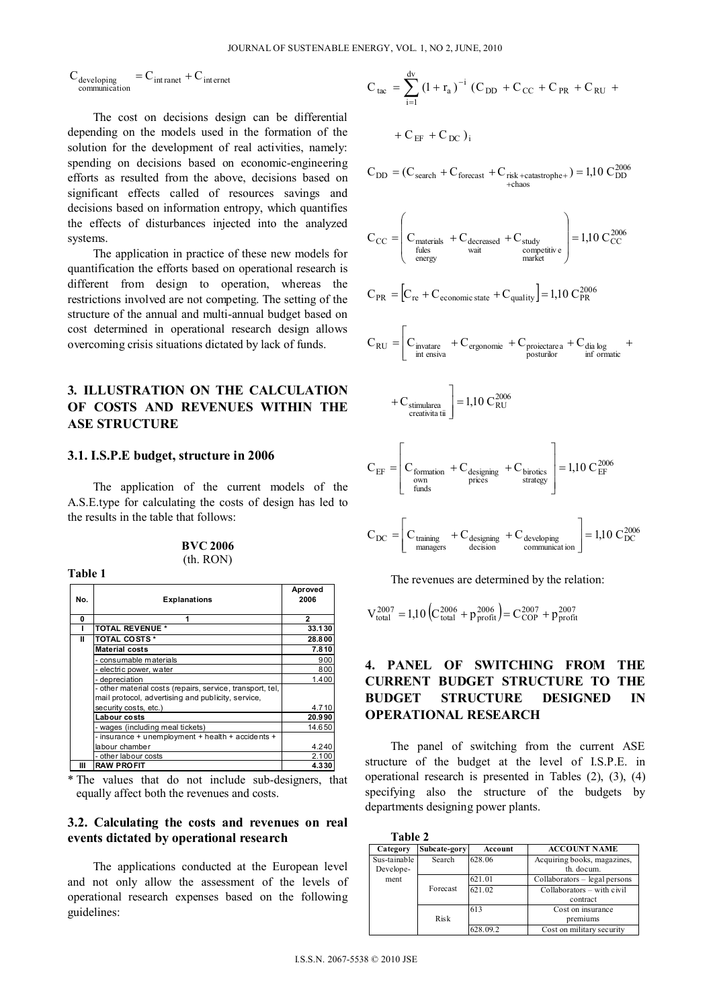$C_{\text{developing}}$ <br>communication  $= C_{\text{int raret}} + C_{\text{internet}}$ 

The cost on decisions design can be differential depending on the models used in the formation of the solution for the development of real activities, namely: spending on decisions based on economic-engineering efforts as resulted from the above, decisions based on significant effects called of resources savings and decisions based on information entropy, which quantifies the effects of disturbances injected into the analyzed systems.

The application in practice of these new models for quantification the efforts based on operational research is different from design to operation, whereas the restrictions involved are not competing. The setting of the structure of the annual and multi-annual budget based on cost determined in operational research design allows overcoming crisis situations dictated by lack of funds.

# **3. ILLUSTRATION ON THE CALCULATION** OF COSTS AND REVENUES WITHIN THE **ASE STRUCTURE**

#### 3.1. I.S.P.E budget, structure in 2006

Toble 1

The application of the current models of the A.S.E.type for calculating the costs of design has led to the results in the table that follows:

| <b>BVC 2006</b> |  |
|-----------------|--|
| (th RON)        |  |

| No. | <b>Explanations</b>                                                                                             | Aproved<br>2006 |
|-----|-----------------------------------------------------------------------------------------------------------------|-----------------|
| 0   | 1                                                                                                               | $\overline{2}$  |
|     | <b>TOTAL REVENUE *</b>                                                                                          | 33.130          |
| Ш   | <b>TOTAL COSTS *</b>                                                                                            | 28.800          |
|     | <b>Material costs</b>                                                                                           | 7.810           |
|     | - consumable materials                                                                                          | 900             |
|     | - electric power, water                                                                                         | 800             |
|     | - depreciation                                                                                                  | 1.400           |
|     | - other material costs (repairs, service, transport, tel,<br>mail protocol, advertising and publicity, service, |                 |
|     | security costs, etc.)                                                                                           | 4.710           |
|     | Labour costs                                                                                                    | 20.990          |
|     | - wages (including meal tickets)                                                                                | 14.650          |
|     | - insurance + unemployment + health + accidents +                                                               |                 |
|     | labour chamber                                                                                                  | 4.240           |
|     | - other labour costs                                                                                            | 2.100           |
| Ш   | <b>RAW PROFIT</b>                                                                                               | 4.330           |

\* The values that do not include sub-designers, that equally affect both the revenues and costs.

# 3.2. Calculating the costs and revenues on real events dictated by operational research

The applications conducted at the European level and not only allow the assessment of the levels of operational research expenses based on the following guidelines:

$$
C_{\text{tac}} = \sum_{i=1}^{d_{\text{V}}} (1 + r_{\text{a}})^{-i} (C_{\text{DD}} + C_{\text{CC}} + C_{\text{PR}} + C_{\text{RU}} +
$$
  
+  $C_{\text{EF}} + C_{\text{DC}}$ )<sub>i</sub>

$$
C_{DD} = (C_{search} + C_{forecast} + C_{risk + catastrophe+}) = 1,10 \text{ } C_{DD}^{2006}
$$

$$
C_{CC} = \begin{bmatrix} C_{\text{materials}} + C_{\text{decreased}} + C_{\text{study}} \\ \text{fules} & \text{wait} \\ \text{energy} & \text{wait} \end{bmatrix} + C_{\text{study}} = 1,10 \ C_{CC}^{2006}
$$

$$
C_{PR} = \left[C_{re} + C_{\text{economic state}} + C_{\text{quality}}\right] = 1.10 \text{ } C_{PR}^{2006}
$$

$$
C_{RU} = \begin{bmatrix} C_{\text{invatare}} + C_{\text{ergonomie}} + C_{\text{proiectarea}} + C_{\text{dia log}} \\ \text{int ensiva} + C_{\text{posturilor}} \end{bmatrix}
$$

$$
+ C_{\text{stimularea}\atop \text{creativita tii}} = 1,10 C_{\text{RU}}^{2006}
$$

F

$$
C_{EF} = \begin{bmatrix} C_{\text{formation}} + C_{\text{designing}} + C_{\text{birotics}} \\ \frac{\text{own}{\text{times}}} {\text{process}} \end{bmatrix} = 1,10 \text{ } C_{EF}^{2006}
$$

$$
C_{DC} = \begin{bmatrix} C_{\text{training}} & + C_{\text{designing}} & + C_{\text{developing}} \\ \text{managers} & \text{decision} \\ \end{bmatrix} = 1,10 \text{ } C_{DC}^{2006}
$$

The revenues are determined by the relation:

$$
V_{total}^{2007} = 1,10 \left( C_{total}^{2006} + p_{profit}^{2006} \right) = C_{COP}^{2007} + p_{profit}^{2007}
$$

#### 4. PANEL OF SWITCHING FROM THE **CURRENT BUDGET STRUCTURE TO THE BUDGET STRUCTURE DESIGNED** IN **OPERATIONAL RESEARCH**

The panel of switching from the current ASE structure of the budget at the level of I.S.P.E. in operational research is presented in Tables  $(2)$ ,  $(3)$ ,  $(4)$ specifying also the structure of the budgets by departments designing power plants.

| Table 2      |              |          |                               |
|--------------|--------------|----------|-------------------------------|
| Category     | Subcate-gory | Account  | <b>ACCOUNT NAME</b>           |
| Sus-tainable | Search       | 628.06   | Acquiring books, magazines,   |
| Develope-    |              |          | th. docum.                    |
| ment         |              | 621.01   | Collaborators – legal persons |
|              | Forecast     | 621.02   | Collaborators – with civil    |
|              |              |          | contract                      |
|              |              | 613      | Cost on insurance             |
|              | Risk         |          | premiums                      |
|              |              | 628.09.2 | Cost on military security     |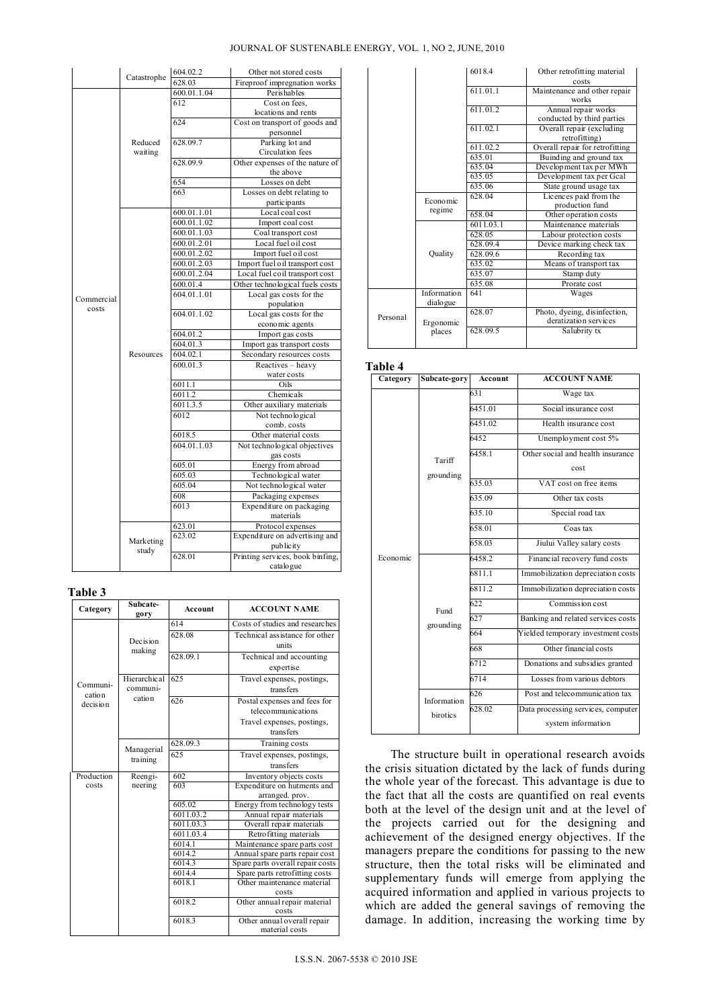### JOURNAL OF SUSTENABLE ENERGY, VOL. 1, NO 2, JUNE, 2010

|            |             | 604.02.2    | Other not stored costs                        |
|------------|-------------|-------------|-----------------------------------------------|
|            | Catastrophe | 628.03      | Fireproof impregnation works                  |
|            |             | 600.01.1.04 | Perishables                                   |
|            |             | 612         | Cost on fees.                                 |
|            |             |             | locations and rents                           |
|            |             | 624         | Cost on transport of goods and                |
|            |             |             | personnel                                     |
|            | Reduced     | 628.09.7    | Parking lot and                               |
|            | waiting     |             | Circulation fees                              |
|            |             | 628.09.9    | Other expenses of the nature of               |
|            |             |             | the above                                     |
|            |             | 654         | Losses on debt                                |
|            |             | 663         | Losses on debt relating to                    |
|            |             |             | partic ipants                                 |
|            |             | 600.01.1.01 | Local coal cost                               |
|            |             | 600.01.1.02 | Import coal cost                              |
|            |             | 600.01.1.03 | Coal transport cost                           |
|            |             | 600.01.2.01 | Local fuel oil cost                           |
|            |             | 600.01.2.02 | Import fuel oil cost                          |
|            |             | 600.01.2.03 | Import fuel oil transport cost                |
|            |             | 600.01.2.04 | Local fuel coil transport cost                |
|            |             | 600.01.4    | Other technological fuels costs               |
| Commercial |             | 604.01.1.01 | Local gas costs for the                       |
| costs      |             |             | population                                    |
|            |             | 604.01.1.02 | Local gas costs for the                       |
|            |             |             | economic agents                               |
|            |             | 604.01.2    | Import gas costs                              |
|            |             | 604.01.3    | Import gas transport costs                    |
|            | Resources   | 604.02.1    | Secondary resources costs                     |
|            |             | 600.01.3    | Reactives - heavy                             |
|            |             |             | water costs                                   |
|            |             | 6011.1      | Oils                                          |
|            |             | 6011.2      | Chemicals                                     |
|            |             | 6011.3.5    | Other auxiliary materials                     |
|            |             | 6012        | Not technological                             |
|            |             |             | comb. costs                                   |
|            |             | 6018.5      | Other material costs                          |
|            |             | 604.01.1.03 | Not technological objectives                  |
|            |             |             | gas costs                                     |
|            |             | 605.01      | Energy from abroad                            |
|            |             | 605.03      | Technological water                           |
|            |             | 605.04      | Not technological water                       |
|            |             | 608         | Packaging expenses                            |
|            |             | 6013        | Expenditure on packaging                      |
|            |             |             | materials                                     |
|            |             | 623.01      | Protocol expenses                             |
|            | Marketing   | 623.02      | Expenditure on advertising and                |
|            | study       | 628.01      | publicity<br>Printing services, book binfing, |
|            |             |             |                                               |
|            |             |             | catalogue                                     |

**Table 3** 

| Category           | Subcate-<br>gory     | Account             | <b>ACCOUNT NAME</b>              |  |
|--------------------|----------------------|---------------------|----------------------------------|--|
|                    |                      | 614                 | Costs of studies and researches  |  |
|                    |                      | 628.08              | Technical assistance for other   |  |
|                    | Dec is ion<br>making |                     | units                            |  |
|                    |                      | 628.09.1            | Technical and accounting         |  |
|                    |                      |                     | expertise                        |  |
|                    | Hierarchical         | 625                 | Travel expenses, postings,       |  |
| Communi-<br>cation | communi-             |                     | transfers                        |  |
| decision           | cation               | 626                 | Postal expenses and fees for     |  |
|                    |                      |                     | telecommunications               |  |
|                    |                      |                     | Travel expenses, postings,       |  |
|                    |                      |                     | transfers                        |  |
|                    | Managerial           | 628.09.3            | Training costs                   |  |
|                    | training             | 625                 | Travel expenses, postings,       |  |
|                    |                      |                     | transfers                        |  |
| Production         | Reengi-              | 602                 | Inventory objects costs          |  |
| costs              | neering              | 603                 | Expenditure on hutments and      |  |
|                    |                      |                     | arranged. prov.                  |  |
|                    |                      | 605.02              | Energy from technology tests     |  |
|                    |                      | 6011.03.2           | Annual repair materials          |  |
|                    |                      | 6011.03.3           | Overall repair materials         |  |
|                    |                      | 6011.03.4           | Retrofitting materials           |  |
|                    |                      | 6014.1              | Maintenance spare parts cost     |  |
|                    |                      | 6014.2              | Annual spare parts repair cost   |  |
|                    |                      | 6014.3              | Spare parts overall repair costs |  |
|                    |                      | 6014.4              | Spare parts retrofitting costs   |  |
|                    |                      | 6018.1              | Other maintenance material       |  |
|                    |                      |                     | costs                            |  |
|                    |                      | $6018.\overline{2}$ | Other annual repair material     |  |
|                    |                      |                     | costs                            |  |
|                    |                      | 6018.3              | Other annual overall repair      |  |
|                    |                      |                     | material costs                   |  |

|          |             | 6018.4    | Other retrofitting material     |
|----------|-------------|-----------|---------------------------------|
|          |             |           | costs                           |
|          |             | 611.01.1  | Maintenance and other repair    |
|          |             |           | works                           |
|          |             | 611.01.2  | Annual repair works             |
|          |             |           | conducted by third parties      |
|          |             | 611.02.1  | Overall repair (excluding       |
|          |             |           | retrofitting)                   |
|          |             | 611.02.2  | Overall repair for retrofitting |
|          |             | 635.01    | Buinding and ground tax         |
|          |             | 635.04    | Development tax per MWh         |
|          |             | 635.05    | Development tax per Gcal        |
|          |             | 635.06    | State ground usage tax          |
|          | Economic    | 628.04    | Licences paid from the          |
|          | regime      |           | production fund                 |
|          |             | 658.04    | Other operation costs           |
|          |             | 6011.03.1 | Maintenance materials           |
|          |             | 628.05    | Labour protection costs         |
|          |             | 628.09.4  | Device marking check tax        |
|          | Ouality     | 628.09.6  | Recording tax                   |
|          |             | 635.02    | Means of transport tax          |
|          |             | 635.07    | Stamp duty                      |
|          |             | 635.08    | Prorate cost                    |
|          | Information | 641       | Wages                           |
|          | dialo gue   |           |                                 |
| Personal |             | 628.07    | Photo, dyeing, disinfection,    |
|          | Ergonomic   |           | deratization services           |
|          | places      | 628.09.5  | Salubrity tx                    |
|          |             |           |                                 |
|          |             |           |                                 |

**Table 4** 

| Category | Subcate-gory                                 | Account | <b>ACCOUNT NAME</b>                |  |
|----------|----------------------------------------------|---------|------------------------------------|--|
|          |                                              | 631     | Wage tax                           |  |
|          |                                              | 6451.01 | Social insurance cost              |  |
|          |                                              | 6451.02 | Health insurance cost              |  |
|          |                                              | 6452    | Unemployment cost 5%               |  |
|          | Tariff                                       | 6458.1  | Other social and health insurance  |  |
|          | grounding                                    |         | cost                               |  |
|          |                                              | 635.03  | VAT cost on free items             |  |
|          |                                              | 635.09  | Other tax costs                    |  |
|          |                                              | 635.10  | Special road tax                   |  |
|          |                                              | 658.01  | Coas tax                           |  |
|          |                                              | 658.03  | Jiului Valley salary costs         |  |
| Economic | Fund<br>grounding<br>Information<br>birotics | 6458.2  | Financial recovery fund costs      |  |
|          |                                              | 6811.1  | Immobilization depreciation costs  |  |
|          |                                              | 68112   | Immobilization depreciation costs  |  |
|          |                                              | 622     | Commission cost                    |  |
|          |                                              | 627     | Banking and related services costs |  |
|          |                                              | 664     | Yielded temporary investment costs |  |
|          |                                              | 668     | Other financial costs              |  |
|          |                                              | 6712    | Donations and subsidies granted    |  |
|          |                                              | 6714    | Losses from various debtors        |  |
|          |                                              | 626     | Post and telecommunication tax     |  |
|          |                                              | 628.02  | Data processing services, computer |  |
|          |                                              |         | system information                 |  |
|          |                                              |         |                                    |  |

 The structure built in operational research avoids the crisis situation dictated by the lack of funds during the whole year of the forecast. This advantage is due to the fact that all the costs are quantified on real events both at the level of the design unit and at the level of the projects carried out for the designing and achievement of the designed energy objectives. If the managers prepare the conditions for passing to the new structure, then the total risks will be eliminated and supplementary funds will emerge from applying the acquired information and applied in various projects to which are added the general savings of removing the damage. In addition, increasing the working time by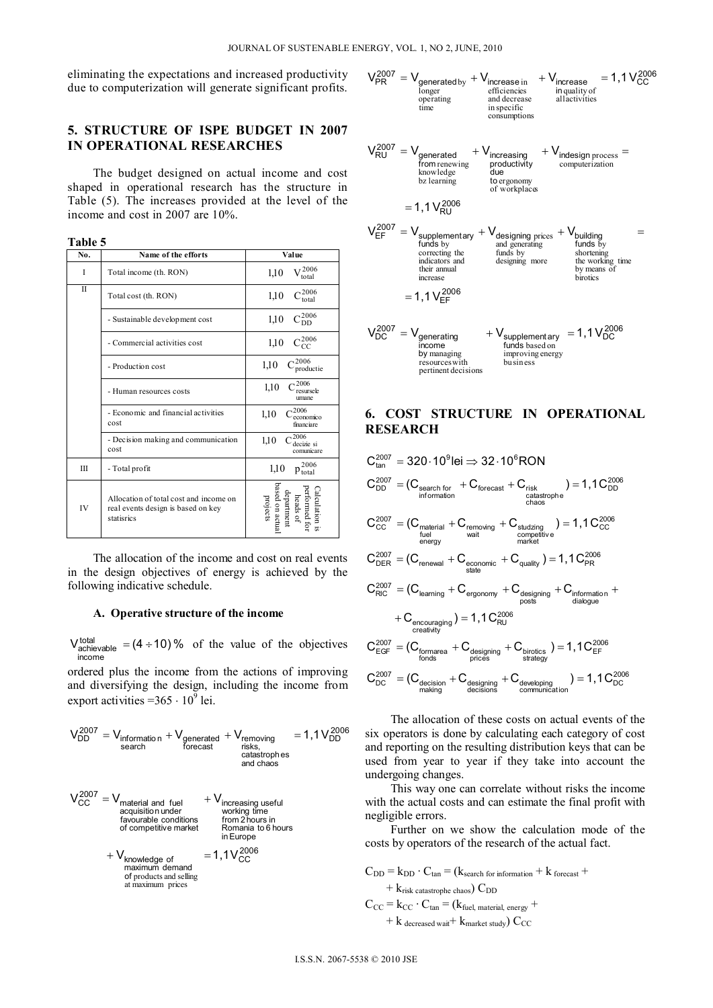eliminating the expectations and increased productivity due to computerization will generate significant profits.

# 5. STRUCTURE OF ISPE BUDGET IN 2007 **IN OPERATIONAL RESEARCHES**

The budget designed on actual income and cost shaped in operational research has the structure in Table (5). The increases provided at the level of the income and cost in 2007 are 10%.

| Table 5<br>No. | Name of the efforts                                                                        | Value                                                                                                           |
|----------------|--------------------------------------------------------------------------------------------|-----------------------------------------------------------------------------------------------------------------|
| I              | Total income (th. RON)                                                                     | $\rm V^{2006}_{total}$<br>1,10                                                                                  |
| $\mathbf{I}$   | Total cost (th. RON)                                                                       | $C_{\text{total}}^{2006}$<br>1,10                                                                               |
|                | - Sustainable development cost                                                             | $C_{DD}^{2006}$<br>1,10                                                                                         |
|                | - Commercial activities cost                                                               | ,2006<br>1,10<br>CC                                                                                             |
|                | - Production cost                                                                          | $-2006$<br>1,10<br>productie                                                                                    |
|                | - Human resources costs                                                                    | ,2006<br>1,10<br>resursele<br>umane                                                                             |
|                | - Economic and financial activities<br>cost                                                | 2006<br>1,10<br>economico<br>financiare                                                                         |
|                | - Decision making and communication<br>cost                                                | 2006<br>1,10<br>decizie si<br>comunicare                                                                        |
| Ш              | - Total profit                                                                             | $p_{\text{total}}^{2006}$<br>1,10                                                                               |
| IV             | Allocation of total cost and income on<br>real events design is based on key<br>statisrics | $\begin{tabular}{ll} Calculation isperformed forherades ofheadbeadarden actualpoisetsprojections \end{tabular}$ |

The allocation of the income and cost on real events in the design objectives of energy is achieved by the following indicative schedule.

#### A. Operative structure of the income

 $V_{\text{achievable}}^{\text{total}} = (4 \div 10) \%$  of the value of the objectives income

ordered plus the income from the actions of improving and diversifying the design, including the income from export activities =  $365 \cdot 10^9$  lei.

$$
V_{DD}^{2007} = V_{\text{information}} + V_{\text{generated}} + V_{\text{removing}} = 1.1 V_{DD}^{2006}
$$
  
search  
access  
caatstophes  
and chaos

$$
V_{CC}^{2007} = V_{material and fuel} + V_{increasing usefulacquisition underfavourable conditions from 2 hours inof competitive marketin Europe+ V_{knowledge ofmaximum demandof products and sellingat maximum prices
$$

 $\cdots$ 

$$
V_{PR}^{2007} = V_{generated by} + V_{increase in} + V_{increase in quality ofoperatingtimetimetimein specificconsumptions
$$
  

$$
V_{RU}^{2007} = V_{generated} + V_{increasing} + V_{intdesign process =from renewingtromrenewingto ergonomyof workingof workingof workingof workingof workingof workingof workingof workingof workinginningof working prices + Vbuildingand generatingfunctions and generatingfunctions and generatingthe working timeto the working timeby means ofhirories
$$
  

$$
= 1,1 V_{EF}^{2006}
$$
  

$$
V_{DC}^{2007} = V_{generated byincreaseincreaseinvolanceinninginverse
$$
= 1,1 V_{EF}^{2006}
$$
  

$$
V_{DC}^{2007} = V_{generated by managingincreaseby managingreconcreasingto variousnessinproving energybeosineby managinginproving energyby using theusing the following energyinverselyby using
$$
$$

# **6. COST STRUCTURE IN OPERATIONAL RESEARCH**

$$
C_{\text{CD}}^{2007} = 320 \cdot 10^9 \text{ [ei} \Rightarrow 32 \cdot 10^6 \text{RON}
$$
\n
$$
C_{\text{DD}}^{2007} = (C_{\text{search for}} + C_{\text{forecast}} + C_{\text{risk}} + C_{\text{risk}}
$$
\n
$$
C_{\text{CC}}^{2007} = (C_{\text{material}} + C_{\text{removing}} + C_{\text{studizing}} + C_{\text{conductive}} + C_{\text{conometric}} + C_{\text{conometric}} + C_{\text{conometric}} + C_{\text{conometric}} + C_{\text{infinite}}
$$
\n
$$
C_{\text{DER}}^{2007} = (C_{\text{renewal}} + C_{\text{economic}} + C_{\text{equality}}) = 1,1 C_{\text{PR}}^{2006}
$$
\n
$$
C_{\text{RIC}}^{2007} = (C_{\text{learning}} + C_{\text{ergonomy}} + C_{\text{designing}} + C_{\text{information}} + C_{\text{nextivity}} + C_{\text{recouaging}} + C_{\text{intning}}
$$
\n
$$
+ C_{\text{encavity}}
$$
\n
$$
C_{\text{EGF}}^{2007} = (C_{\text{formarea}} + C_{\text{designing}} + C_{\text{birotics}}) = 1,1 C_{\text{EF}}^{2006}
$$
\n
$$
C_{\text{DC}}^{2007} = (C_{\text{decision}} + C_{\text{designing}} + C_{\text{divology}} + C_{\text{strategy}}) = 1,1 C_{\text{DC}}^{2006}
$$
\n
$$
C_{\text{DC}}^{2007} = (C_{\text{decision}} + C_{\text{designing}} + C_{\text{developing}} - 1,1 C_{\text{DC}}^{2006}
$$
\n
$$
C_{\text{nonlinear}}^{2007} = C_{\text{decision}} + C_{\text{designing}} + C_{\text{developing}} - 1,1 C_{\text{DC}}^{2006}
$$

The allocation of these costs on actual events of the six operators is done by calculating each category of cost and reporting on the resulting distribution keys that can be used from year to year if they take into account the undergoing changes.

This way one can correlate without risks the income with the actual costs and can estimate the final profit with negligible errors.

Further on we show the calculation mode of the costs by operators of the research of the actual fact.

$$
C_{DD} = k_{DD} \cdot C_{tan} = (k_{search for information} + k_{forecast} ++ k_{risk\text{ catastrophe chaos}}) C_{DD}C_{CC} = k_{CC} \cdot C_{tan} = (k_{fuel, material, energy} ++ k_{decreased wait} + k_{market study}) C_{CC}
$$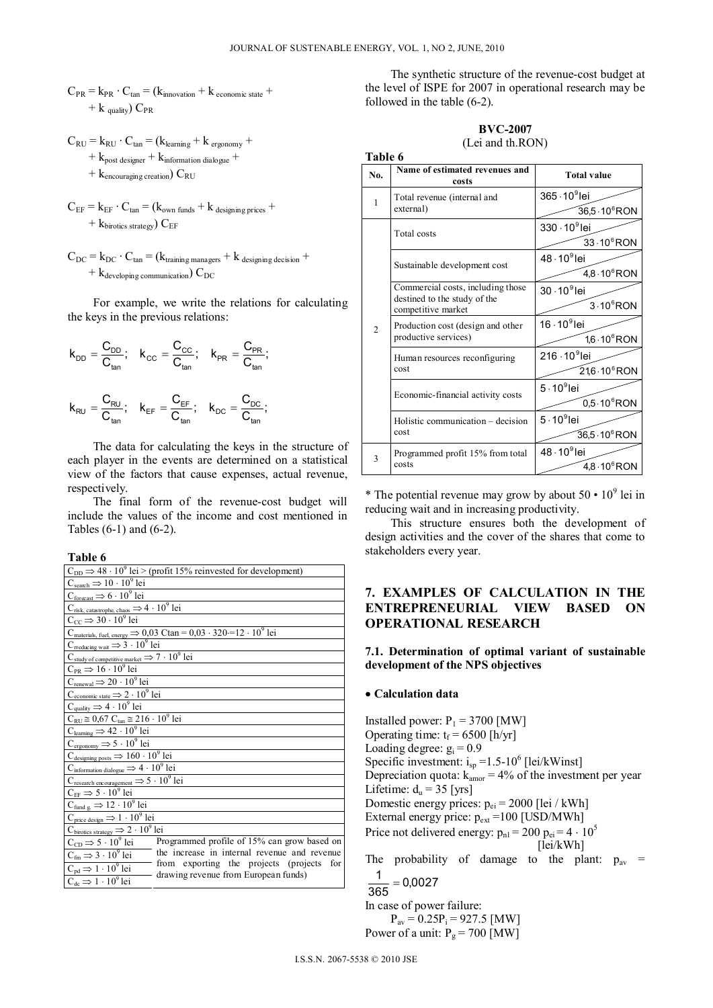**Table 6** 

- $C_{PR}$  =  $k_{PR}$  ·  $C_{tan}$  = ( $k_{innovation}$  +  $k_{economic state}$  +  $+ k$  quality)  $C_{PR}$
- $C_{RU} = k_{RU} \cdot C_{tan} = (k_{learning} + k_{ergonomy} + k_{refography})$ 
	- $+ k_{\text{post designer}} + k_{\text{information dialogue}} +$
	- $+$  k<sub>encouraging creation</sub>)  $C_{\text{RU}}$
- $C_{EF} = k_{EF} \cdot C_{tan} = (k_{own \, funds} + k_{designing \, prices} +$  $+$  k<sub>birotics</sub> strategy) C<sub>EF</sub>
- $C_{DC}$  =  $k_{DC}$  ·  $C_{tan}$  = ( $k_{training\, managers}$  +  $k_{designing\,decision}$  +  $+ k_{\text{developing communication}}$  C<sub>DC</sub>

 For example, we write the relations for calculating the keys in the previous relations:

$$
k_{\text{DD}} = \frac{C_{\text{DD}}}{C_{\text{tan}}}; \quad k_{\text{CC}} = \frac{C_{\text{CC}}}{C_{\text{tan}}}; \quad k_{\text{PR}} = \frac{C_{\text{PR}}}{C_{\text{tan}}};
$$
\n
$$
k_{\text{RU}} = \frac{C_{\text{RU}}}{C_{\text{tan}}}; \quad k_{\text{EF}} = \frac{C_{\text{EF}}}{C_{\text{tan}}}; \quad k_{\text{DC}} = \frac{C_{\text{DC}}}{C_{\text{tan}}};
$$

 The data for calculating the keys in the structure of each player in the events are determined on a statistical view of the factors that cause expenses, actual revenue, respectively.

 The final form of the revenue-cost budget will include the values of the income and cost mentioned in Tables (6-1) and (6-2).

**Table 6**

|                                                                        | $C_{DD} \Rightarrow 48 \cdot 10^9$ lei > (profit 15% reinvested for development)                       |
|------------------------------------------------------------------------|--------------------------------------------------------------------------------------------------------|
| $C_{\text{search}} \Rightarrow 10 \cdot 10^9 \text{ lei}$              |                                                                                                        |
| $C_{\text{forecast}} \Rightarrow 6 \cdot 10^9$ lei                     |                                                                                                        |
| $C_{risk, \text{ catastrophe, chaos}} \Rightarrow 4 \cdot 10^9$ lei    |                                                                                                        |
| $C_{CC} \Rightarrow 30 \cdot 10^9$ lei                                 |                                                                                                        |
|                                                                        | $C_{\text{materials, fuel, energy}}$ $\Rightarrow$ 0,03 Ctan = 0,03 · 320 · = 12 · 10 <sup>9</sup> lei |
| $C_{\text{reducing wait}} \Rightarrow 3 \cdot 10^9$ lei                |                                                                                                        |
| $C_{study of competitive market} \Rightarrow 7 \cdot 10^9$ lei         |                                                                                                        |
| $C_{PR} \Rightarrow 16 \cdot 10^9$ lei                                 |                                                                                                        |
| $C_{renewal} \Rightarrow 20 \cdot 10^9$ lei                            |                                                                                                        |
| $C_{\text{economic state}} \Rightarrow 2 \cdot 10^9$ lei               |                                                                                                        |
| $C_{\text{quality}} \Rightarrow 4 \cdot 10^9$ lei                      |                                                                                                        |
| $C_{RU} \approx 0.67 C_{tan} \approx 216 \cdot 10^9$ lei               |                                                                                                        |
| $C_{\text{learning}} \Rightarrow 42 \cdot 10^9$ lei                    |                                                                                                        |
| $C_{\text{ergonomy}} \Rightarrow 5 \cdot 10^9 \text{ lei}$             |                                                                                                        |
| $C_{\text{designing posts}} \Rightarrow 160 \cdot 10^9$ lei            |                                                                                                        |
| $C_{\text{information dialogue}} \Rightarrow 4 \cdot 10^9 \text{ lei}$ |                                                                                                        |
| $C_{\text{research encounter}} \Rightarrow 5 \cdot 10^9 \text{ lei}$   |                                                                                                        |
| $C_{EF} \Rightarrow 5 \cdot 10^9$ lei                                  |                                                                                                        |
| $C_{\text{fund g}} \Rightarrow 12 \cdot 10^9 \text{ lei}$              |                                                                                                        |
| $C_{\text{price design}} \Rightarrow 1 \cdot 10^9$ lei                 |                                                                                                        |
| $C_{\text{birotics strategy}} \Rightarrow 2 \cdot 10^9 \text{ lei}$    |                                                                                                        |
| $C_{CD} \Rightarrow 5 \cdot 10^9$ lei                                  | Programmed profile of 15% can grow based on                                                            |
| $C_{\text{fm}} \Rightarrow 3 \cdot 10^9$ lei                           | the increase in internal revenue and revenue                                                           |
| $C_{pd} \Rightarrow 1 \cdot 10^9$ lei                                  | from exporting the projects (projects for                                                              |
| $C_{\text{dc}} \Rightarrow 1 \cdot 10^9 \text{ lei}$                   | drawing revenue from European funds)                                                                   |
|                                                                        |                                                                                                        |

 The synthetic structure of the revenue-cost budget at the level of ISPE for 2007 in operational research may be followed in the table (6-2).

### **BVC-2007** (Lei and th.RON)

|                | 1 able 6                                           |                            |  |  |  |
|----------------|----------------------------------------------------|----------------------------|--|--|--|
| No.            | Name of estimated revenues and<br>costs            | <b>Total value</b>         |  |  |  |
| 1              | Total revenue (internal and                        | $365 \cdot 10^9$ lei       |  |  |  |
|                | external)                                          | 36,5 · 10 <sup>6</sup> RON |  |  |  |
|                | Total costs                                        | $330 \cdot 10^9$ lei       |  |  |  |
|                |                                                    | $33 \cdot 10^6$ RON        |  |  |  |
|                | Sustainable development cost                       | $48 \cdot 10^9$ lei        |  |  |  |
|                |                                                    | $4,8.10^6$ RON             |  |  |  |
|                | Commercial costs, including those                  | $30 \cdot 10^9$ lei        |  |  |  |
| $\overline{c}$ | destined to the study of the<br>competitive market | $3.10$ <sup>6</sup> RON    |  |  |  |
|                | Production cost (design and other                  | $16 \cdot 10^9$ lei        |  |  |  |
|                | productive services)                               | $1.6 \cdot 10^6$ RON       |  |  |  |
|                | Human resources reconfiguring                      | 216 · 10 <sup>9</sup> lei  |  |  |  |
|                | cost                                               | $21,6.10$ <sup>6</sup> RON |  |  |  |
|                | Economic-financial activity costs                  | $5.109$ lei                |  |  |  |
|                |                                                    | $0.5 \cdot 10^6$ RON       |  |  |  |
|                | Holistic communication – decision                  | $5 \cdot 10^9$ lei         |  |  |  |
|                | cost                                               | $36,5.10$ <sup>6</sup> RON |  |  |  |
| 3              | Programmed profit 15% from total                   | $48 \cdot 10^9$ lei        |  |  |  |
|                | costs                                              | $4,8.10^6$ RON             |  |  |  |

\* The potential revenue may grow by about  $50 \cdot 10^9$  lei in reducing wait and in increasing productivity.

 This structure ensures both the development of design activities and the cover of the shares that come to stakeholders every year.

# **7. EXAMPLES OF CALCULATION IN THE ENTREPRENEURIAL VIEW BASED ON OPERATIONAL RESEARCH**

**7.1. Determination of optimal variant of sustainable development of the NPS objectives**

#### **Calculation data**

Installed power:  $P_1 = 3700$  [MW] Operating time:  $t_f = 6500$  [h/yr] Loading degree:  $g_i = 0.9$ Specific investment:  $i_{sp} = 1.5 - 10^6$  [lei/kWinst] Depreciation quota:  $k_{\text{amor}} = 4\%$  of the investment per year Lifetime:  $d_u = 35$  [yrs] Domestic energy prices:  $p_{ei} = 2000$  [lei / kWh] External energy price:  $p_{ext} = 100$  [USD/MWh] Price not delivered energy:  $p_{nl} = 200$   $p_{ei} = 4 \cdot 10^5$  [lei/kWh] The probability of damage to the plant:  $p_{av}$  =

$$
\frac{1}{365} = 0,0027
$$
  
In case of power failure:  

$$
P_{av} = 0.25P_i = 927.5
$$
[MW]  
Power of a unit:  $P_g = 700$ [MW]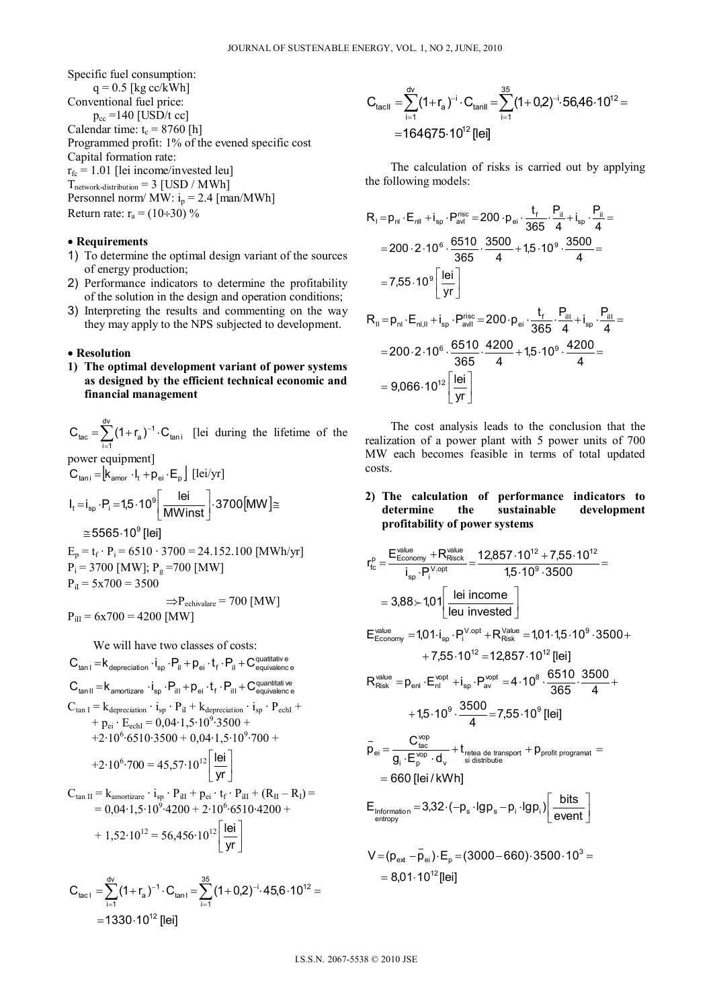Specific fuel consumption:

 $q = 0.5$  [kg cc/kWh] Conventional fuel price:  $p_{cc} = 140$  [USD/t cc] Calendar time:  $t_c = 8760$  [h] Programmed profit: 1% of the evened specific cost Capital formation rate:  $r_{\text{fc}} = 1.01$  [lei income/invested leu]  $T_{network\text{-distribution}} = 3$  [USD / MWh] Personnel norm/  $MW: i<sub>p</sub> = 2.4$  [man/MWh] Return rate:  $r_a = (10 \div 30) \%$ 

# • Requirements

- 1) To determine the optimal design variant of the sources of energy production;
- 2) Performance indicators to determine the profitability of the solution in the design and operation conditions;
- 3) Interpreting the results and commenting on the way they may apply to the NPS subjected to development.

#### • Resolution

1) The optimal development variant of power systems as designed by the efficient technical economic and financial management

 $C_{\text{tac}} = \sum_{i=1}^{d} (1 + r_a)^{-1} \cdot C_{\text{tani}}$  [lei during the lifetime of the power equipment]  $C_{\text{tani}} = \begin{bmatrix} k_{\text{amor}} & l_t + p_{\text{ei}} & E_p \end{bmatrix}$  [lei/yr]  $1 - i$   $P - 15.10^9$  lei  $3700$ [MM]~

$$
I_t = I_{sp} \cdot P_i = 1,5 \cdot 10^{\circ} \left[ \frac{\text{MWinst}}{\text{MWinst}} \right] \cdot 3700 \, \text{MWJ}
$$
\n
$$
\approx 5565.10^{\circ} \, \text{[lei]}
$$

$$
E_p = t_f \cdot P_i = 6510 \cdot 3700 = 24.152.100 \text{ [MWh/yr]}
$$
  
\n
$$
P_i = 3700 \text{ [MW]}; P_g = 700 \text{ [MW]}
$$
  
\n
$$
P_{il} = 5x700 = 3500
$$
  
\n
$$
\Rightarrow P_{\text{echivalence}} = 700 \text{ [MW]}
$$
  
\n
$$
P_{ilI} = 6x700 = 4200 \text{ [MW]}
$$

We will have two classes of costs:

$$
C_{tan 1} = k_{deprecation} \cdot i_{sp} \cdot P_{il} + p_{ei} \cdot t_{f} \cdot P_{il} + C_{equivalence}^{\text{quatitative}}
$$
\n
$$
C_{tan 1} = k_{amortizare} \cdot i_{sp} \cdot P_{ill} + p_{ei} \cdot t_{f} \cdot P_{ill} + C_{equivalence}^{\text{quatitative}}
$$
\n
$$
C_{tan 1} = k_{deprecation} \cdot i_{sp} \cdot P_{ill} + k_{deprecation} \cdot i_{sp} \cdot P_{echl} + p_{ei} \cdot E_{echl} = 0,04 \cdot 1,5 \cdot 10^{9} \cdot 3500 + 12 \cdot 10^{6} \cdot 6510 \cdot 3500 + 0,04 \cdot 1,5 \cdot 10^{9} \cdot 700 + 12 \cdot 10^{6} \cdot 700 = 45,57 \cdot 10^{12} \left[ \frac{1ei}{yr} \right]
$$
\n
$$
C_{tan II} = k_{amortizare} \cdot i_{sp} \cdot P_{iII} + p_{ei} \cdot t_{f} \cdot P_{iII} + (R_{II} - R_{I}) = 0,04 \cdot 1,5 \cdot 10^{9} \cdot 4200 + 2 \cdot 10^{6} \cdot 6510 \cdot 4200 + 1,52 \cdot 10^{12} = 56,456 \cdot 10^{12} \left[ \frac{1ei}{yr} \right]
$$

$$
C_{\text{tac1}} = \sum_{i=1}^{d_{\text{V}}} (1 + r_{\text{a}})^{-1} \cdot C_{\text{tan1}} = \sum_{i=1}^{35} (1 + 0.2)^{-i} \cdot 45.6 \cdot 10^{12} =
$$
  
= 1330 \cdot 10^{12} [lei]

$$
C_{\text{tacII}} = \sum_{i=1}^{d_{\text{V}}} (1 + r_{\text{a}})^{-i} \cdot C_{\text{tanII}} = \sum_{i=1}^{35} (1 + 0.2)^{-i} \cdot 56,46 \cdot 10^{12} = 164675 \cdot 10^{12} \text{ [Fe]}
$$

The calculation of risks is carried out by applying the following models:

$$
R_{1} = p_{nl} \cdot E_{nll} + i_{sp} \cdot P_{avl}^{rise} = 200 \cdot p_{ei} \cdot \frac{t_{f}}{365} \cdot \frac{P_{il}}{4} + i_{sp} \cdot \frac{P_{il}}{4} =
$$
\n
$$
= 200 \cdot 2 \cdot 10^{6} \cdot \frac{6510}{365} \cdot \frac{3500}{4} + 1,5 \cdot 10^{9} \cdot \frac{3500}{4} =
$$
\n
$$
= 7,55 \cdot 10^{9} \left[ \frac{\text{lei}}{\text{yr}} \right]
$$
\n
$$
R_{ll} = p_{nl} \cdot E_{nl,ll} + i_{sp} \cdot P_{avll}^{rise} = 200 \cdot p_{ei} \cdot \frac{t_{f}}{365} \cdot \frac{P_{ill}}{4} + i_{sp} \cdot \frac{P_{ill}}{4} =
$$
\n
$$
= 200 \cdot 2 \cdot 10^{6} \cdot \frac{6510}{365} \cdot \frac{4200}{4} + 1,5 \cdot 10^{9} \cdot \frac{4200}{4} =
$$
\n
$$
= 9,066 \cdot 10^{12} \left[ \frac{\text{lei}}{\text{yr}} \right]
$$

The cost analysis leads to the conclusion that the realization of a power plant with 5 power units of 700 MW each becomes feasible in terms of total updated costs.

#### 2) The calculation of performance indicators to determine the sustainable development profitability of power systems

 $\overline{a}$ 

$$
r_{tc}^{p} = \frac{E_{\text{Ecompy}}^{\text{value}} + R_{\text{Risck}}^{\text{value}}}{i_{sp} \cdot P_{i}^{\text{V-opt}}} = \frac{12,857 \cdot 10^{12} + 7,55 \cdot 10^{12}}{1,5 \cdot 10^{9} \cdot 3500} = 3,88 \succ 1,01 \left[ \frac{\text{lei income}}{\text{leu invested}} \right]
$$
  
\n
$$
E_{\text{Ecompy}}^{\text{value}} = 1,01 \cdot i_{sp} \cdot P_{i}^{\text{V-opt}} + R_{\text{Risk}}^{\text{Value}} = 1,01 \cdot 1,5 \cdot 10^{9} \cdot 3500 + 7,55 \cdot 10^{12} = 12,857 \cdot 10^{12} \left[ \text{lei} \right]
$$
  
\n
$$
R_{\text{Risk}}^{\text{value}} = p_{\text{enl}} \cdot E_{nl}^{\text{opt}} + i_{sp} \cdot P_{av}^{\text{opt}} = 4 \cdot 10^{8} \cdot \frac{6510}{365} \cdot \frac{3500}{4} + 1,5 \cdot 10^{9} \cdot \frac{3500}{4} = 7,55 \cdot 10^{9} \left[ \text{lei} \right]
$$
  
\n
$$
p_{\text{ei}} = \frac{C_{\text{tac}}^{\text{vop}}}{g_{\text{f}} \cdot E_{p}^{\text{vop}} \cdot d_{v}} + t_{\text{rete de transport}} + p_{\text{profit programat}} = 660 \left[ \text{lei} / \text{kWh} \right]
$$
  
\n
$$
E_{\text{information}} = 3,32 \cdot (-p_{s} \cdot \text{lg} p_{s} - p_{i} \cdot \text{lg} p_{i}) \left[ \frac{\text{bits}}{\text{event}} \right]
$$
  
\n
$$
V = (p_{\text{ext}} - \bar{p}_{\text{ei}}) \cdot E_{p} = (3000 - 660) \cdot 3500 \cdot 10^{3} = 8,01 \cdot 10^{12} \left[ \text{lei} \right]
$$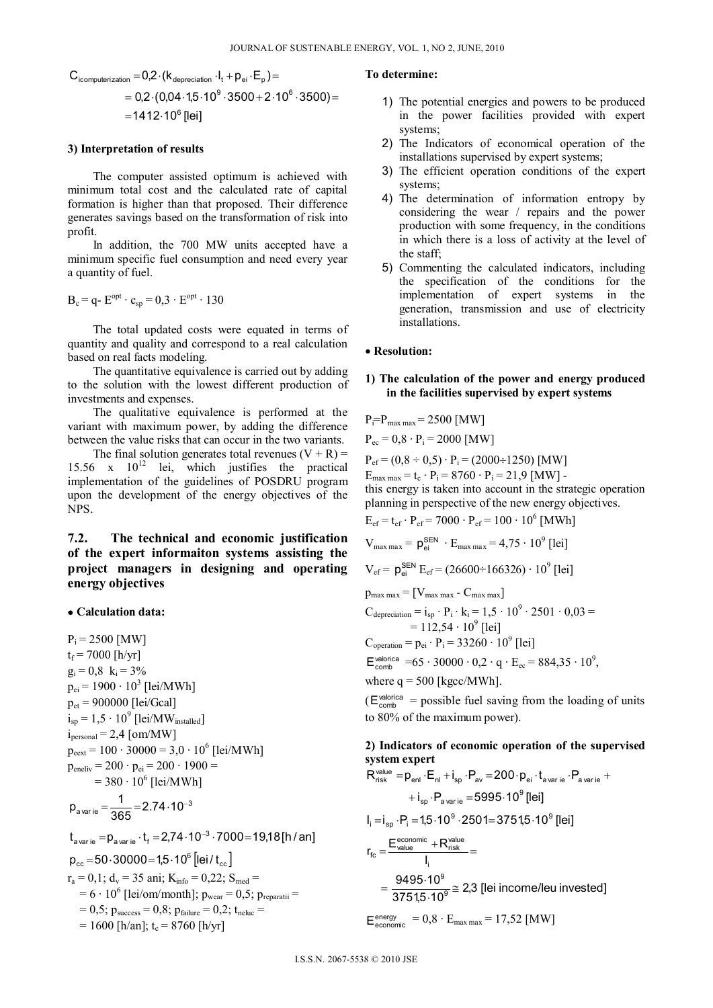$$
C_{\text{icomputerization}} = 0.2 \cdot (k_{\text{deprecision}} \cdot I_{t} + p_{\text{ei}} \cdot E_{p}) = \\ = 0.2 \cdot (0.04 \cdot 1.5 \cdot 10^{9} \cdot 3500 + 2 \cdot 10^{6} \cdot 3500) = \\ = 1412 \cdot 10^{6} \text{ [lei]}
$$

#### **3) Interpretation of results**

 The computer assisted optimum is achieved with minimum total cost and the calculated rate of capital formation is higher than that proposed. Their difference generates savings based on the transformation of risk into profit.

 In addition, the 700 MW units accepted have a minimum specific fuel consumption and need every year a quantity of fuel.

$$
B_c = q - E^{opt} \cdot c_{sp} = 0.3 \cdot E^{opt} \cdot 130
$$

 The total updated costs were equated in terms of quantity and quality and correspond to a real calculation based on real facts modeling.

 The quantitative equivalence is carried out by adding to the solution with the lowest different production of investments and expenses.

 The qualitative equivalence is performed at the variant with maximum power, by adding the difference between the value risks that can occur in the two variants.

The final solution generates total revenues  $(V + R)$  = 15.56 x  $10^{12}$  lei, which justifies the practical implementation of the guidelines of POSDRU program upon the development of the energy objectives of the NPS.

# **7.2. The technical and economic justification of the expert informaiton systems assisting the project managers in designing and operating energy objectives**

### **Calculation data:**

 $P_i = 2500$  [MW]  $t_f$  = 7000 [h/yr]  $g_i = 0.8$   $k_i = 3\%$  $p_{ei}$  = 1900 · 10<sup>3</sup> [lei/MWh]  $p_{et} = 900000$  [lei/Gcal]  $i_{sp}$  = 1,5 · 10<sup>9</sup> [lei/MW<sub>installed</sub>]  $i<sub>personal</sub> = 2,4$  [om/MW]  $p_{\text{eext}} = 100 \cdot 30000 = 3.0 \cdot 10^6$  [lei/MWh]  $p_{\text{eneliv}} = 200 \cdot p_{\text{ei}} = 200 \cdot 1900 =$  $= 380 \cdot 10^{6}$  [lei/MWh] a varie  $=\frac{1}{365}$   $=$   $2.74 \cdot 10^{-3}$  $p_{\text{avarie}} = \frac{1}{225} = 2.74 \cdot 10^{-1}$  $\mathsf{t}_{\mathsf{a\,var\mathsf{ie}}}\!=\!\mathsf{p}_{\mathsf{a\,var\mathsf{ie}}}\!\cdot\!\mathsf{t}_{\mathsf{f}}\!=\!2.74\!\cdot\!10^{-3}\cdot7000\!=\!19\!,\!18[\mathsf{h}/\mathsf{an}]$  $\rm p_{cc}$  =50 $\cdot$ 30000=1,5 $\cdot$ 10 $^6$  [lei /  $\rm t_{cc}$  ]

$$
r_a = 0,1; d_v = 35 \text{ ani}; K_{info} = 0,22; S_{med} =
$$
  
= 6 \cdot 10<sup>6</sup> [lei/cm/month]; p<sub>wear</sub> = 0,5; p<sub>reparatii</sub> =  
= 0,5; p<sub>success</sub> = 0,8; p<sub>failure</sub> = 0,2; t<sub>ne</sub> =  
= 1600 [h/an]; t<sub>c</sub> = 8760 [h/yr]

#### **To determine:**

- 1) The potential energies and powers to be produced in the power facilities provided with expert systems;
- 2) The Indicators of economical operation of the installations supervised by expert systems;
- 3) The efficient operation conditions of the expert systems;
- 4) The determination of information entropy by considering the wear / repairs and the power production with some frequency, in the conditions in which there is a loss of activity at the level of the staff;
- 5) Commenting the calculated indicators, including the specification of the conditions for the implementation of expert systems in the generation, transmission and use of electricity installations.

#### **Resolution:**

### **1) The calculation of the power and energy produced in the facilities supervised by expert systems**

$$
P_i = P_{\text{max max}} = 2500 \text{ [MW]}
$$

 $P_{ec} = 0.8 \cdot P_i = 2000$  [MW]

 $P_{ef} = (0.8 \div 0.5) \cdot P_i = (2000 \div 1250)$  [MW]  $E_{\text{max max}} = t_c \cdot P_i = 8760 \cdot P_i = 21.9$  [MW] this energy is taken into account in the strategic operation planning in perspective of the new energy objectives.

$$
E_{ef} = t_{ef} \cdot P_{ef} = 7000 \cdot P_{ef} = 100 \cdot 10^6
$$
 [MWh]

$$
V_{max max} = p_{ei}^{SEN} \cdot E_{max max} = 4.75 \cdot 10^9
$$
 [lei]

$$
V_{ef} = p_{ei}^{SEN} E_{ef} = (26600 \div 166326) \cdot 10^9
$$
 [lei]

$$
p_{max max} = [V_{max max} - C_{max max}]
$$
  
\n
$$
C_{deprecision} = i_{sp} \cdot P_i \cdot k_i = 1,5 \cdot 10^9 \cdot 2501 \cdot 0,03 =
$$
  
\n
$$
= 112,54 \cdot 10^9 \text{ [lei]}
$$
  
\n
$$
C_{operation} = p_{ei} \cdot P_i = 33260 \cdot 10^9 \text{ [lei]}
$$
  
\n
$$
E_{comb}^{valorica} = 65 \cdot 30000 \cdot 0,2 \cdot q \cdot E_{ec} = 884,35 \cdot 10^9,
$$

where  $q = 500$  [kgcc/MWh].

 $(E_{\text{comb}}^{\text{valorica}})$  = possible fuel saving from the loading of units to 80% of the maximum power).

# **2) Indicators of economic operation of the supervised system expert**

$$
R_{risk}^{value} = p_{enl} \cdot E_{nl} + i_{sp} \cdot P_{av} = 200 \cdot p_{ei} \cdot t_{a\text{var}ie} \cdot P_{a\text{var}ie} +
$$

$$
+ i_{sp} \cdot P_{a\text{var}ie} = 5995 \cdot 10^9 \text{ [lei]}
$$

$$
I_i = i_{sp} \cdot P_i = 1,5 \cdot 10^9 \cdot 2501 = 3751,5 \cdot 10^9 \text{ [lei]}
$$

$$
r_{fc} = \frac{E_{value}}{I_i}
$$

$$
= \frac{9495 \cdot 10^9}{3751,5 \cdot 10^9} \approx 2,3 \text{ [lei income/leu invested]}
$$

$$
E_{e\text{conomic}}^{\text{energy}} = 0,8 \cdot E_{\text{max max}} = 17,52 \text{ [MW]}
$$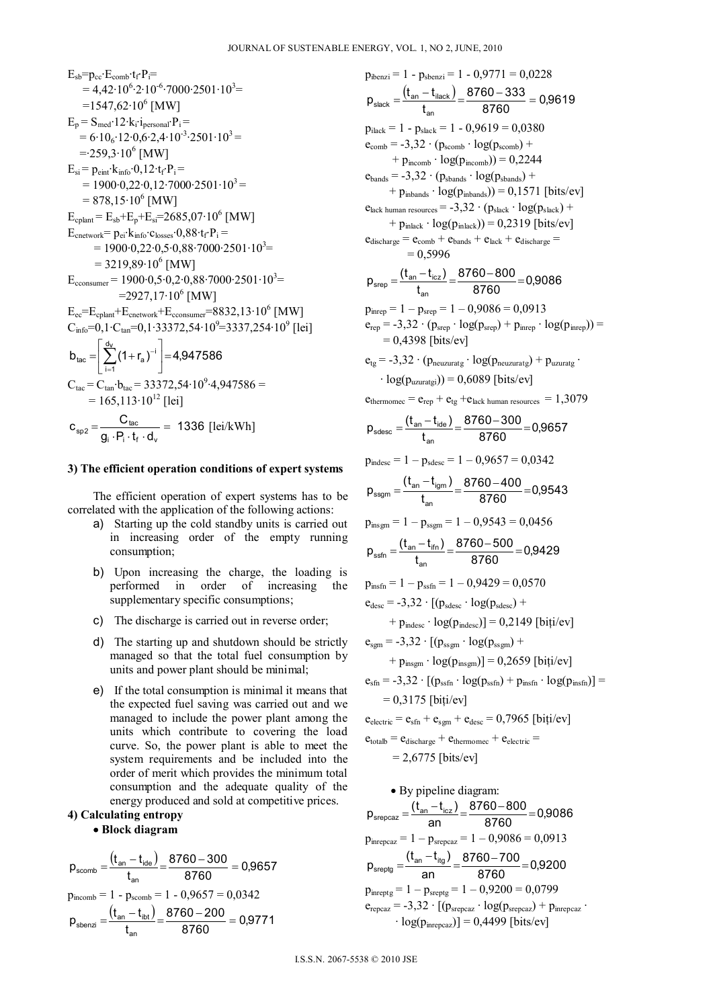$$
E_{sb} = p_{cc} \cdot E_{comb} \cdot t_f P_i =
$$
\n= 4,42 \cdot 10<sup>6</sup> \cdot 2 \cdot 10<sup>-6</sup> \cdot 7000 \cdot 2501 \cdot 10<sup>3</sup> =  
\n= 1547,62 \cdot 10<sup>6</sup> [MW]  
\n
$$
E_p = S_{med} \cdot 12 \cdot k_i \cdot i_{personal} \cdot P_i =
$$
\n= 6 \cdot 10<sub>6</sub> \cdot 12 \cdot 0,6 \cdot 2,4 \cdot 10<sup>-3</sup> \cdot 2501 \cdot 10<sup>3</sup> =  
\n= 259,3 \cdot 10<sup>6</sup> [MW]  
\n
$$
E_{si} = p_{eint} \cdot k_{info} \cdot 0,12 \cdot t_f P_i =
$$
\n= 1900 \cdot 0,22 \cdot 0,12 \cdot 7000 \cdot 2501 \cdot 10<sup>3</sup> =  
\n= 878,15 \cdot 10<sup>6</sup> [MW]  
\n
$$
E_{cplant} = E_{sb} + E_p + E_{si} = 2685,07 \cdot 106 [MW]\n
$$
E_{crelwork} = p_{ei} \cdot k_{info} \cdot c_{losses} \cdot 0,88 \cdot t_f P_i =
$$
\n= 1900 \cdot 0,22 \cdot 0,5 \cdot 0,88 \cdot 7000 \cdot 2501 \cdot 10<sup>3</sup> =  
\n= 3219,89 \cdot 10<sup>6</sup> [MW]  
\n
$$
E_{cconsumer} = 1900 \cdot 0,5 \cdot 0,2 \cdot 0,88 \cdot 7000 \cdot 2501 \cdot 103 =\n=2927,17 \cdot 106 [MW]\n
$$
E_{cc} = E_{cplant} + E_{centwork} + E_{ccossumer} = 8832,13 \cdot 106 [MW]\n
$$
C_{info} = 0,1 \cdot C_{tan} = 0,1 \cdot 33372,54 \cdot 109 = 3337,254 \cdot
$$
$$
$$
$$

### **3) The efficient operation conditions of expert systems**

 The efficient operation of expert systems has to be correlated with the application of the following actions:

- a) Starting up the cold standby units is carried out in increasing order of the empty running consumption;
- b) Upon increasing the charge, the loading is performed in order of increasing the supplementary specific consumptions;
- c) The discharge is carried out in reverse order;
- d) The starting up and shutdown should be strictly managed so that the total fuel consumption by units and power plant should be minimal;
- e) If the total consumption is minimal it means that the expected fuel saving was carried out and we managed to include the power plant among the units which contribute to covering the load curve. So, the power plant is able to meet the system requirements and be included into the order of merit which provides the minimum total consumption and the adequate quality of the energy produced and sold at competitive prices.

# **4) Calculating entropy**

# **Block diagram**

$$
p_{\text{scomb}} = \frac{(t_{\text{an}} - t_{\text{ide}})}{t_{\text{an}}} = \frac{8760 - 300}{8760} = 0,9657
$$
  
\n
$$
p_{\text{incomb}} = 1 - p_{\text{scomb}} = 1 - 0,9657 = 0,0342
$$
  
\n
$$
p_{\text{sbenzi}} = \frac{(t_{\text{an}} - t_{\text{ibt}})}{t_{\text{an}}} = \frac{8760 - 200}{8760} = 0,9771
$$

 $p_{\text{ibenzi}} = 1 - p_{\text{sbenzi}} = 1 - 0.9771 = 0.0228$  $\frac{(\mathsf{t}_{\mathsf{an}}-\mathsf{t}_{\mathsf{ilack}})}{\mathsf{t}_{\mathsf{an}}}$  =  $\frac{8760-333}{8760}$  = 0,9619 t  $p_{\text{slack}} = \frac{(t_{\text{an}} - t)}{t}$ an  $\frac{(t_{\text{an}} - t_{\text{ilack}})}{4} = \frac{8760 - 333}{2760} =$  $p<sub>ilack</sub> = 1 - p<sub>slack</sub> = 1 - 0,9619 = 0,0380$  $e_{\text{comb}} = -3.32 \cdot (p_{\text{scomb}} \cdot \log(p_{\text{scomb}})) +$  $+ p<sub>incomb</sub> \cdot log(p<sub>incomb</sub>)) = 0,2244$  $e_{bands} = -3.32 \cdot (p_{sbands} \cdot log(p_{sbands}) +$  $+ p_{inbands} \cdot log(p_{inbands})) = 0,1571$  [bits/ev]  $e_{\text{lack human resources}} = -3.32 \cdot (p_{\text{slack}} \cdot \log(p_{\text{slack}})) +$  $+ p_{\text{index}} \cdot \log(p_{\text{index}})) = 0,2319$  [bits/ev]  $e_{discharge} = e_{comb} + e_{bands} + e_{lack} + e_{discharge}$  $= 0,5996$  $\frac{8760-800}{8760} = 0,9086$  $p_{\text{step}} = \frac{(t_{\text{an}} - t_{\text{icz}})}{t_{\text{an}}}$ an  $\frac{1}{\text{step}} = \frac{(t_{\text{an}} - t_{\text{icz}})}{t} = \frac{8760 - 800}{9760} =$  $p_{\text{inrep}} = 1 - p_{\text{srep}} = 1 - 0.9086 = 0.0913$  $e_{\text{ren}} = -3.32 \cdot (p_{\text{srep}} \cdot \log(p_{\text{srep}}) + p_{\text{inrep}} \cdot \log(p_{\text{inrep}})) =$  $= 0.4398$  [bits/ev]  $e_{te} = -3.32 \cdot (p_{neuzuratg} \cdot log(p_{neuzuratg}) + p_{uzuratg} \cdot$  $\cdot \log(p_{\text{upquation}}) = 0.6089$  [bits/ev]  $e_{thermomec} = e_{rep} + e_{tg} + e_{lack}$  human resources = 1,3079  $\frac{8760-300}{8760} = 0,9657$  $p_{\text{sdesc}} = \frac{(t_{\text{an}} - t_{\text{ide}})}{t_{\text{an}}}$ an  $\frac{(t_{\text{an}} - t_{\text{ide}})}{4} = \frac{8760 - 300}{2760} =$  $p_{indesc} = 1 - p_{sdesc} = 1 - 0,9657 = 0,0342$  $\frac{8760-400}{8760} = 0,9543$ t  $p_{ssam} = \frac{(t_{an} - t_{igm})}{t}$ an  $\frac{(t_{\text{an}} - t_{\text{igm}})}{t} = \frac{8760 - 400}{2760} =$  $p_{insgm} = 1 - p_{ssgm} = 1 - 0.9543 = 0.0456$  $\frac{8760-500}{8760}$ =0,9429  $p_{\text{ssfn}} = \frac{(t_{\text{an}} - t_{\text{ifn}})}{t_{\text{an}}}$ an  $\frac{(t_{an} - t_{fin})}{t} = \frac{8760 - 500}{2760} =$  $p<sub>insfn</sub> = 1 - p<sub>ssfn</sub> = 1 - 0,9429 = 0,0570$  $e_{\text{desc}} = -3.32 \cdot [(p_{\text{sdesc}} \cdot \log(p_{\text{sdesc}}) +$  $+ p_{index} \cdot log(p_{index}) = 0.2149$  [biti/ev]  $e_{\text{som}} = -3.32 \cdot [(p_{\text{ssym}} \cdot \log(p_{\text{ssym}})] +$  $+ p_{\text{insgm}} \cdot \log(p_{\text{insgm}})$ ] = 0,2659 [biti/ev]  $e_{\rm sfn} = -3.32 \cdot [(p_{\rm sfsf} \cdot \log(p_{\rm sfsf}) + p_{\rm insf} \cdot \log(p_{\rm insf})] =$  $= 0.3175$  [biti/ev]  $e_{electric} = e_{sfn} + e_{sgn} + e_{desc} = 0,7965$  [biti/ev]  $e_{\text{totalb}} = e_{\text{discharge}} + e_{\text{thermomec}} + e_{\text{electric}} =$  $= 2,6775$  [bits/ev] By pipeline diagram:

 $\frac{8760 - 800}{8760} = 0,9086$  $p_{\text{stepcaz}} = \frac{(t_{\text{an}} - t_{\text{icz}})}{\text{an}} = \frac{8760 - 800}{8760} =$  $p_{\text{inrepcaz}} = 1 - p_{\text{srepcaz}} = 1 - 0,9086 = 0,0913$  $\frac{8760-700}{8760} = 0,9200$ an  $p_{\text{sreptg}} = \frac{(t_{\text{an}} - t_{\text{itg}})}{2R} = \frac{8760 - 700}{8760} =$  $p_{\text{inreptg}} = 1 - p_{\text{sreptg}} = 1 - 0.9200 = 0.0799$  $e_{\text{repcaz}} = -3.32 \cdot [(\mathbf{p}_{\text{srepcaz}} \cdot \log(\mathbf{p}_{\text{srepcaz}}) + \mathbf{p}_{\text{inrepcaz}} \cdot$  $\cdot$  log( $p_{\text{intercoaz}}$ )] = 0,4499 [bits/ev]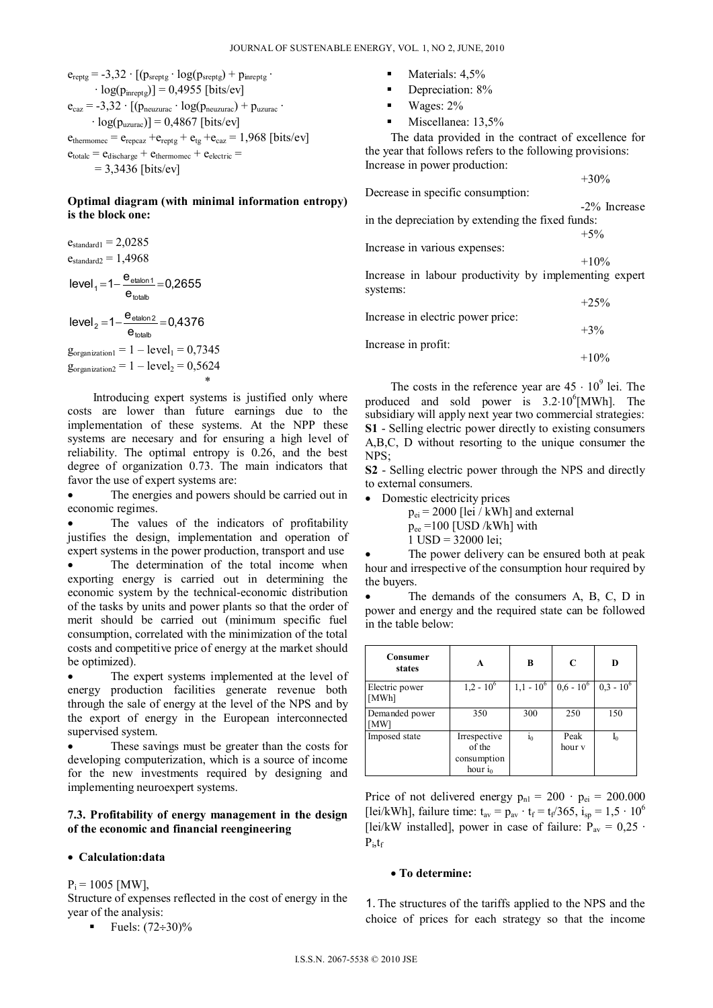$e_{reptg} = -3.32 \cdot [(p_{sreptg} \cdot log(p_{sreptg}) + p_{inreptg} \cdot$  $\cdot$  log( $p_{\text{inrestg}}$ )] = 0,4955 [bits/ev]  $e_{\text{caz}} = -3.32 \cdot [(p_{\text{neuzura}} \cdot \log(p_{\text{neuzura}}) + p_{\text{uzura}} \cdot$  $\cdot$  log( $p_{\text{uzurac}}$ )] = 0,4867 [bits/ev]  $e_{thermomec} = e_{reocaz} + e_{reptg} + e_{tg} + e_{caz} = 1,968$  [bits/ev]  $e_{\text{totalc}} = e_{\text{discharge}} + e_{\text{thermomec}} + e_{\text{electric}} =$  $= 3,3436$  [bits/ev]

# **Optimal diagram (with minimal information entropy) is the block one:**

 $e<sub>standard1</sub> = 2,0285$  $e<sub>standard</sub> = 1,4968$  $|level_1 = 1 - \frac{e_{etalon1}}{e_{totalb}} = 0,2655$ totalb  $\frac{C_{\text{etalon1}}}{2}$  $|level_2 = 1 - \frac{e_{etalon2}}{e_{totalb}} = 0,4376$ totalb  $\frac{c_{\text{etalon2}}}{2}$  =  $g_{\text{organization1}} = 1 - \text{level}_1 = 0,7345$  $g_{\text{organization2}} = 1 - \text{level}_2 = 0,5624$ \*

 Introducing expert systems is justified only where costs are lower than future earnings due to the implementation of these systems. At the NPP these systems are necesary and for ensuring a high level of reliability. The optimal entropy is 0.26, and the best degree of organization 0.73. The main indicators that favor the use of expert systems are:

 The energies and powers should be carried out in economic regimes.

 The values of the indicators of profitability justifies the design, implementation and operation of expert systems in the power production, transport and use The determination of the total income when exporting energy is carried out in determining the economic system by the technical-economic distribution of the tasks by units and power plants so that the order of merit should be carried out (minimum specific fuel consumption, correlated with the minimization of the total costs and competitive price of energy at the market should

be optimized). The expert systems implemented at the level of energy production facilities generate revenue both through the sale of energy at the level of the NPS and by the export of energy in the European interconnected supervised system.

 These savings must be greater than the costs for developing computerization, which is a source of income for the new investments required by designing and implementing neuroexpert systems.

# **7.3. Profitability of energy management in the design of the economic and financial reengineering**

## **Calculation:data**

 $P_i = 1005$  [MW],

Structure of expenses reflected in the cost of energy in the year of the analysis:

**Fuels:**  $(72 \div 30)\%$ 

- Materials:  $4.5%$
- Depreciation: 8%
- Wages: 2%
- Miscellanea: 13,5%

 The data provided in the contract of excellence for the year that follows refers to the following provisions: Increase in power production:

Decrease in specific consumption:

Increase in various expenses:

-2% Increase in the depreciation by extending the fixed funds:

 $+5%$ 

+30%

 $+10%$ Increase in labour productivity by implementing expert systems:

 $+25%$ Increase in electric power price:  $+3%$ Increase in profit:  $+10\%$ 

The costs in the reference year are  $45 \cdot 10^9$  lei. The produced and sold power is  $3.2 \cdot 10^6$  [MWh]. The subsidiary will apply next year two commercial strategies: **S1** - Selling electric power directly to existing consumers A,B,C, D without resorting to the unique consumer the NPS;

**S2** - Selling electric power through the NPS and directly to external consumers.

• Domestic electricity prices

 $p_{ei}$  = 2000 [lei / kWh] and external  $p_{ee}$  =100 [USD /kWh] with  $1 \text{ USD} = 32000 \text{ lei};$ 

 The power delivery can be ensured both at peak hour and irrespective of the consumption hour required by the buyers.

 The demands of the consumers A, B, C, D in power and energy and the required state can be followed in the table below:

| Consumer<br>states      | A                                                   | B              | C              | D            |
|-------------------------|-----------------------------------------------------|----------------|----------------|--------------|
| Electric power<br>[MWh] | $1,2 - 10^6$                                        | $1,1 - 10^6$   | $0.6 - 10^6$   | $0,3 - 10^6$ |
| Demanded power<br>[MW]  | 350                                                 | 300            | 250            | 150          |
| Imposed state           | Irrespective<br>of the<br>consumption<br>hour $i_0$ | 1 <sub>0</sub> | Peak<br>hour v | $I_0$        |

Price of not delivered energy  $p_{nl} = 200 \cdot p_{ei} = 200.000$ [lei/kWh], failure time:  $t_{av} = p_{av} \cdot t_f = t_f/365$ ,  $i_{so} = 1.5 \cdot 10^6$ [lei/kW installed], power in case of failure:  $P_{av} = 0.25$ .  $P_i, t_f$ 

#### **To determine:**

1. The structures of the tariffs applied to the NPS and the choice of prices for each strategy so that the income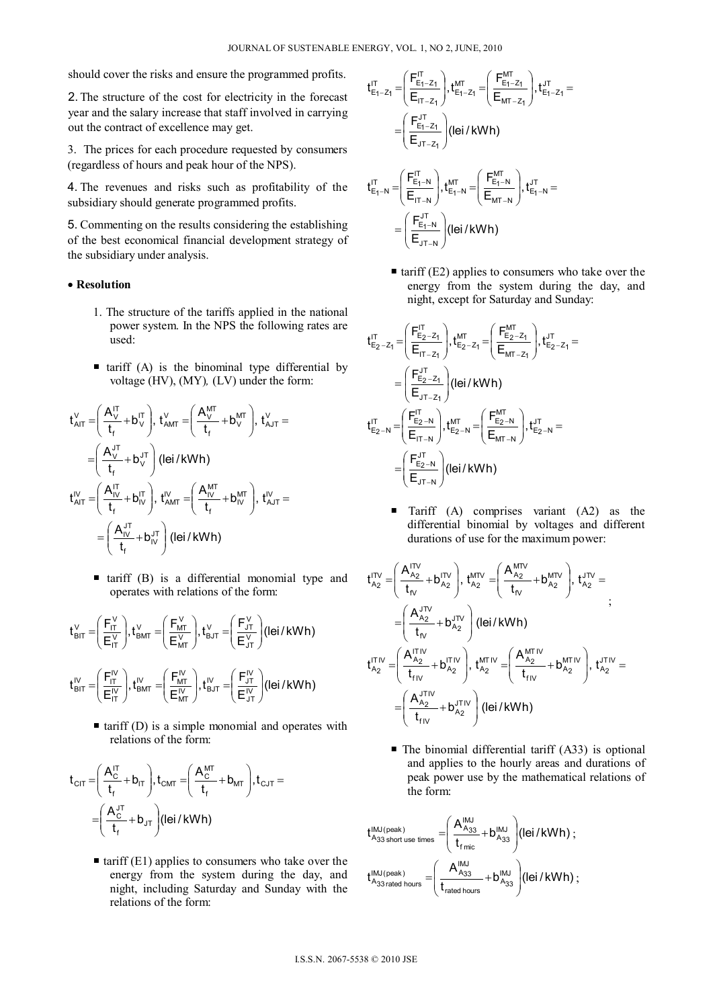should cover the risks and ensure the programmed profits.

2. The structure of the cost for electricity in the forecast year and the salary increase that staff involved in carrying out the contract of excellence may get.

3. The prices for each procedure requested by consumers (regardless of hours and peak hour of the NPS).

4. The revenues and risks such as profitability of the subsidiary should generate programmed profits.

5. Commenting on the results considering the establishing of the best economical financial development strategy of the subsidiary under analysis.

### **Resolution**

- 1. The structure of the tariffs applied in the national power system. In the NPS the following rates are used:
- $\blacksquare$  tariff (A) is the binominal type differential by voltage (HV), (MY)*,* (LV) under the form:

$$
t_{AIT}^V = \left(\frac{A_V^{IT}}{t_f} + b_V^{IT}\right), t_{AMT}^V = \left(\frac{A_V^{MT}}{t_f} + b_V^{MT}\right), t_{AJT}^V = \\ = \left(\frac{A_V^{JT}}{t_f} + b_V^{JT}\right) (Iei / kWh)
$$
  

$$
t_{AIT}^{IV} = \left(\frac{A_{IV}^{IT}}{t_f} + b_{IV}^{IT}\right), t_{AMT}^{IV} = \left(\frac{A_{IV}^{MT}}{t_f} + b_{IV}^{MT}\right), t_{AJT}^{IV} = \\ = \left(\frac{A_{IV}^{IT}}{t_f} + b_{IV}^{JT}\right) (Iei / kWh)
$$

 $\blacksquare$  tariff (B) is a differential monomial type and operates with relations of the form:

$$
t_{\text{BIT}}^V = \left(\frac{F_{\text{IT}}^V}{E_{\text{IT}}^V}\right), t_{\text{BMI}}^V = \left(\frac{F_{\text{MT}}^V}{E_{\text{MT}}^V}\right), t_{\text{BJT}}^V = \left(\frac{F_{\text{JT}}^V}{E_{\text{JT}}^V}\right) (1 \text{ei/KWh})
$$
  

$$
t_{\text{BIT}}^V = \left(\frac{F_{\text{IT}}^V}{E_{\text{IT}}^V}\right), t_{\text{BAT}}^V = \left(\frac{F_{\text{MT}}^W}{E_{\text{MT}}^W}\right), t_{\text{BJT}}^V = \left(\frac{F_{\text{JT}}^V}{E_{\text{JT}}^V}\right) (1 \text{ei/KWh})
$$

 $\blacksquare$  tariff (D) is a simple monomial and operates with relations of the form:

$$
t_{\text{CIT}} = \left(\frac{A_{\text{C}}^{\text{IT}}}{t_{\text{f}}} + b_{\text{IT}}\right), t_{\text{CMT}} = \left(\frac{A_{\text{C}}^{\text{MT}}}{t_{\text{f}}} + b_{\text{MT}}\right), t_{\text{CJT}} = \left(\frac{A_{\text{C}}^{\text{JT}}}{t_{\text{f}}} + b_{\text{JT}}\right) (\text{lei}/\text{kWh})
$$

 $\blacksquare$  tariff (E1) applies to consumers who take over the energy from the system during the day, and night, including Saturday and Sunday with the relations of the form:

$$
t_{E_{1}-Z_{1}}^{IT} = \left(\frac{F_{E_{1}-Z_{1}}^{IT}}{E_{IT-Z_{1}}}\right), t_{E_{1}-Z_{1}}^{MT} = \left(\frac{F_{E_{1}-Z_{1}}^{MT}}{E_{MT-Z_{1}}}\right), t_{E_{1}-Z_{1}}^{UT} = \newline = \left(\frac{F_{E_{1}-Z_{1}}^{JT}}{E_{JT-Z_{1}}}\right) (lei/kWh) \newline t_{E_{1}-N}^{IT} = \left(\frac{F_{E_{1}-N}^{IT}}{E_{LT-N}}\right), t_{E_{1}-N}^{UT} = \left(\frac{F_{E_{1}-N}^{MT}}{E_{MT-N}}\right), t_{E_{1}-N}^{UT} = \newline
$$

 $\frac{F_{E_1-N}^{J_1}}{F_{J_1-N}}$  (lei/kWh)

 $\bigg)$ 

 $\left( \right)$ 

 $JT-N$  $\frac{E_1-N}{E_1-N}$ 

Ξ -

 $\overline{\phantom{a}}$  $\overline{\phantom{0}}$ 

ſ  $\equiv$ 

 $\blacksquare$  tariff (E2) applies to consumers who take over the energy from the system during the day, and night, except for Saturday and Sunday:

$$
t_{E_2-Z_1}^{IT} = \left(\frac{F_{E_2-Z_1}^{IT}}{E_{iT-Z_1}}\right), t_{E_2-Z_1}^{MT} = \left(\frac{F_{E_2-Z_1}^{MT}}{E_{MT-Z_1}}\right), t_{E_2-Z_1}^{UT} =
$$
\n
$$
= \left(\frac{F_{E_2-Z_1}^{LT}}{E_{JT-Z_1}}\right) (lei/kWh)
$$
\n
$$
t_{E_2-N}^{IT} = \left(\frac{F_{E_2-N}^{IT}}{E_{iT-N}}\right), t_{E_2-N}^{MT} = \left(\frac{F_{E_2-N}^{MT}}{E_{MT-N}}\right), t_{E_2-N}^{UT} =
$$
\n
$$
= \left(\frac{F_{E_2-N}^{UT}}{E_{JT-N}}\right) (lei/kWh)
$$

**Tariff** (A) comprises variant (A2) as the differential binomial by voltages and different durations of use for the maximum power:

$$
\begin{aligned} t_{A_2}^{\text{ITV}} =& \left( \frac{A_{A_2}^{\text{ITV}}}{t_{r_v}} + b_{A_2}^{\text{ITV}} \right), \, t_{A_2}^{\text{MTV}} = & \left( \frac{A_{A_2}^{\text{MTV}}} {t_{r_v}} + b_{A_2}^{\text{MTV}} \right), \, t_{A_2}^{\text{ITV}} = \\ =& \left( \frac{A_{A_2}^{\text{JTV}}}{t_{r_v}} + b_{A_2}^{\text{JTV}} \right) \left( \text{lei}/\text{kWh} \right) \\ t_{A_2}^{\text{ITV}} =& \left( \frac{A_{A_2}^{\text{ITV}}}{t_{r_{IV}}} + b_{A_2}^{\text{ITV}} \right), \, t_{A_2}^{\text{MTIV}} = & \left( \frac{A_{A_2}^{\text{MTIV}}} {t_{r_{IV}}} + b_{A_2}^{\text{MTIV}} \right), \, t_{A_2}^{\text{UTV}} = \\ =& \left( \frac{A_{A_2}^{\text{JTV}}} {t_{r_{IV}}} + b_{A_2}^{\text{JTV}} \right) \left( \text{lei}/\text{kWh} \right) \end{aligned}
$$

 $\blacksquare$  The binomial differential tariff (A33) is optional and applies to the hourly areas and durations of peak power use by the mathematical relations of the form:

$$
\begin{aligned} t_{\text{A}_{33} \text{ short use times}}^{\text{IMJ (peak)}}=&\left(\frac{A_{\text{A}_{33}}^{\text{IMJ}}}{t_{\text{func}}}\!+\!b_{\text{A}_{33}}^{\text{IMJ}}\right)\!\left(\text{lei}/\text{kWh}\right)\,; \\ t_{\text{A}_{33}\text{ rated hours}}^{\text{IMJ (peak)}}=&\left(\frac{A_{\text{A}_{33}}^{\text{IMJ}}}{t_{\text{rated hours}}}\!+\!b_{\text{A}_{33}}^{\text{IMJ}}\right)\!\left(\text{lei}/\text{kWh}\right)\,; \end{aligned}
$$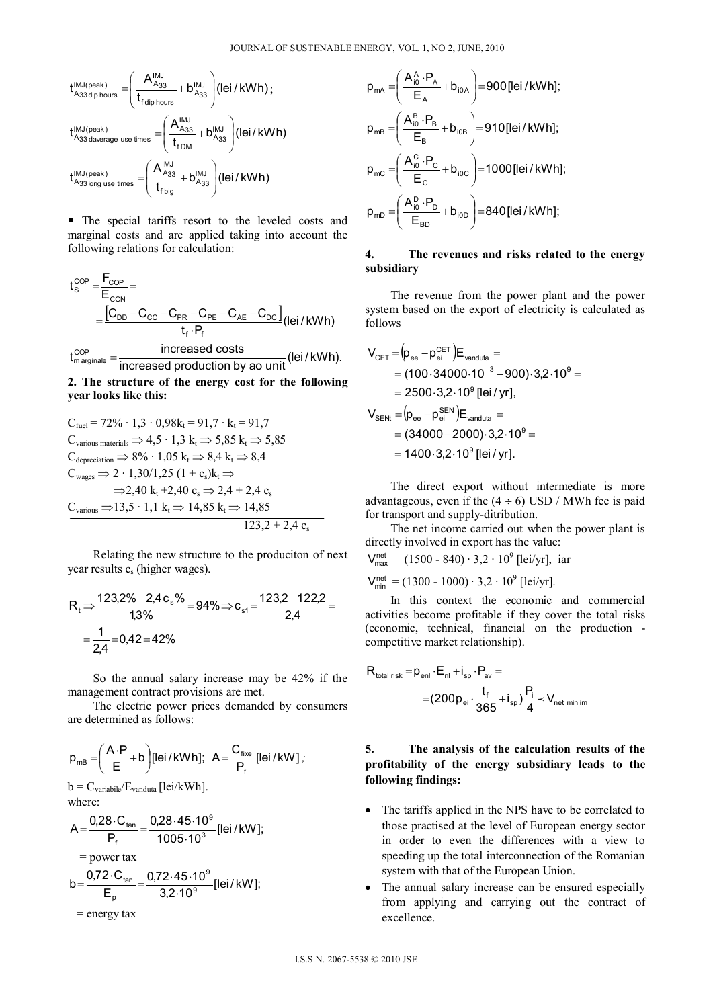$$
\begin{aligned} t_{A_{33\,dip\,hours}}^{\text{IMJ(peak)}}=&\Bigg(\frac{A_{A_{33}}^{\text{IMJ}}}{t_{\text{fdip\,hours}}}+b_{A_{33}}^{\text{IMJ}}\Bigg)(lei/kWh)\,;\\ t_{A_{33\,daverage\ use\ times}}^{\text{IMJ(peak)}}=&\Bigg(\frac{A_{A_{33}}^{\text{IMJ}}}{t_{\text{fDM}}}+b_{A_{33}}^{\text{IMJ}}\Bigg)(lei/kWh)\\ t_{A_{33\,long\ use\ times}}^{\text{IMJ(peak)}}=&\Bigg(\frac{A_{A_{33}}^{\text{IMJ}}}{t_{\text{fbig}}}+b_{A_{33}}^{\text{IMJ}}\Bigg)(lei/kWh)\end{aligned}
$$

 The special tariffs resort to the leveled costs and marginal costs and are applied taking into account the following relations for calculation:

$$
t_{s}^{COP} = \frac{F_{COP}}{E_{CON}} =
$$
\n
$$
= \frac{[C_{DD} - C_{CC} - C_{PR} - C_{PE} - C_{AE} - C_{DC}]}{t_f \cdot P_f} (lei / kWh)
$$
\n
$$
t_{\text{marginale}}^{COP} = \frac{\text{increased costs}}{\text{increased production by ao unit}} (lei / kWh).
$$

**2. The structure of the energy cost for the following year looks like this:** 

$$
C_{\text{fuel}} = 72\% \cdot 1,3 \cdot 0,98k_{t} = 91,7 \cdot k_{t} = 91,7
$$
  
\n
$$
C_{\text{various materials}} \Rightarrow 4,5 \cdot 1,3 \ k_{t} \Rightarrow 5,85 \ k_{t} \Rightarrow 5,85
$$
  
\n
$$
C_{\text{deprecision}} \Rightarrow 8\% \cdot 1,05 \ k_{t} \Rightarrow 8,4 \ k_{t} \Rightarrow 8,4
$$
  
\n
$$
C_{\text{wages}} \Rightarrow 2 \cdot 1,30/1,25 \ (1 + c_{s})k_{t} \Rightarrow
$$
  
\n
$$
\Rightarrow 2,40 \ k_{t} + 2,40 \ c_{s} \Rightarrow 2,4 + 2,4 \ c_{s}
$$
  
\n
$$
C_{\text{various}} \Rightarrow 13,5 \cdot 1,1 \ k_{t} \Rightarrow 14,85 \ k_{t} \Rightarrow 14,85
$$
  
\n
$$
123,2 + 2,4 \ c_{s}
$$

 Relating the new structure to the produciton of next year results c<sub>s</sub> (higher wages).

$$
R_t \Rightarrow \frac{123,2\% - 2,4c_s\%}{1,3\%} = 94\% \Rightarrow c_{s1} = \frac{123,2 - 122,2}{2,4} = \frac{1}{2,4} = 0,42 = 42\%
$$

 So the annual salary increase may be 42% if the management contract provisions are met.

 The electric power prices demanded by consumers are determined as follows:

$$
p_{mB} = \left(\frac{A \cdot P}{E} + b\right) [lei/kWh]; \quad A = \frac{C_{\text{fixe}}}{P_{\text{f}}} [lei/kW];
$$

 $b = C_{\text{variable}}/E_{\text{vanduta}}$  [lei/kWh]. where:

$$
A = \frac{0.28 \cdot C_{tan}}{P_f} = \frac{0.28 \cdot 45 \cdot 10^9}{1005 \cdot 10^3} [\text{lei/kW}];
$$
  
= power tax  

$$
b = \frac{0.72 \cdot C_{tan}}{E_p} = \frac{0.72 \cdot 45 \cdot 10^9}{3.2 \cdot 10^9} [\text{lei/kW}];
$$
  
= energy tax

$$
p_{mA} = \left(\frac{A_{i0}^{A} \cdot P_{A}}{E_{A}} + b_{i0A}\right) = 900 \text{ [lei /kWh]};
$$
\n
$$
p_{mB} = \left(\frac{A_{i0}^{B} \cdot P_{B}}{E_{B}} + b_{i0B}\right) = 910 \text{ [lei /kWh]};
$$
\n
$$
p_{mC} = \left(\frac{A_{i0}^{C} \cdot P_{C}}{E_{C}} + b_{i0C}\right) = 1000 \text{ [lei /kWh]};
$$
\n
$$
p_{mD} = \left(\frac{A_{i0}^{D} \cdot P_{D}}{E_{BD}} + b_{i0D}\right) = 840 \text{ [lei /kWh]};
$$

### **4. The revenues and risks related to the energy subsidiary**

 The revenue from the power plant and the power system based on the export of electricity is calculated as follows

$$
V_{\text{CET}} = (p_{\text{ee}} - p_{\text{ei}}^{\text{CET}})E_{\text{vanduta}} =
$$
  
= (100.34000.10<sup>-3</sup> - 900).3,2.10<sup>9</sup> =  
= 2500.3,2.10<sup>9</sup> [lei / yr],  

$$
V_{\text{SENI}} = (p_{\text{ee}} - p_{\text{ei}}^{\text{SEN}})E_{\text{vanduta}} =
$$
  
= (34000 - 2000).3,2.10<sup>9</sup> =  
= 1400.3,2.10<sup>9</sup> [lei / yr].

 The direct export without intermediate is more advantageous, even if the  $(4 \div 6)$  USD / MWh fee is paid for transport and supply-ditribution.

 The net income carried out when the power plant is directly involved in export has the value:

 $V_{\text{max}}^{\text{net}} = (1500 - 840) \cdot 3.2 \cdot 10^9$  [lei/yr], iar

 $V_{\text{min}}^{\text{net}} = (1300 - 1000) \cdot 3.2 \cdot 10^9$  [lei/yr].

 In this context the economic and commercial activities become profitable if they cover the total risks (economic, technical, financial on the production competitive market relationship).

$$
\begin{aligned} R_{\text{total risk}} = & p_{\text{enl}} \cdot E_{\text{nl}} + i_{\text{sp}} \cdot P_{\text{av}} = \\ = & (200 p_{\text{ei}} \cdot \frac{t_{\text{f}}}{365} + i_{\text{sp}}) \frac{P_{\text{i}}}{4} \prec V_{\text{net min im}} \end{aligned}
$$

# **5. The analysis of the calculation results of the profitability of the energy subsidiary leads to the following findings:**

- The tariffs applied in the NPS have to be correlated to those practised at the level of European energy sector in order to even the differences with a view to speeding up the total interconnection of the Romanian system with that of the European Union.
- The annual salary increase can be ensured especially from applying and carrying out the contract of excellence.